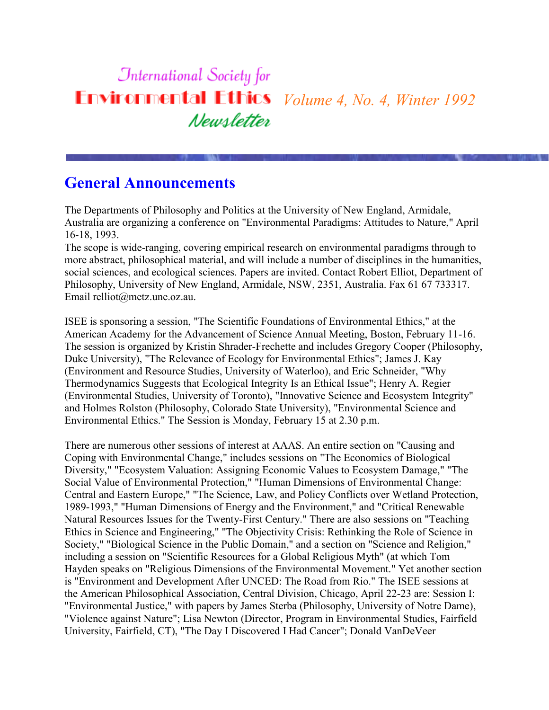#### **International Society for Environmental Ethics** *Volume 4, No. 4, Winter 1992* Newsletter

#### **General Announcements**

The Departments of Philosophy and Politics at the University of New England, Armidale, Australia are organizing a conference on "Environmental Paradigms: Attitudes to Nature," April 16-18, 1993.

The scope is wide-ranging, covering empirical research on environmental paradigms through to more abstract, philosophical material, and will include a number of disciplines in the humanities, social sciences, and ecological sciences. Papers are invited. Contact Robert Elliot, Department of Philosophy, University of New England, Armidale, NSW, 2351, Australia. Fax 61 67 733317. Email relliot@metz.une.oz.au.

ISEE is sponsoring a session, "The Scientific Foundations of Environmental Ethics," at the American Academy for the Advancement of Science Annual Meeting, Boston, February 11-16. The session is organized by Kristin Shrader-Frechette and includes Gregory Cooper (Philosophy, Duke University), "The Relevance of Ecology for Environmental Ethics"; James J. Kay (Environment and Resource Studies, University of Waterloo), and Eric Schneider, "Why Thermodynamics Suggests that Ecological Integrity Is an Ethical Issue"; Henry A. Regier (Environmental Studies, University of Toronto), "Innovative Science and Ecosystem Integrity" and Holmes Rolston (Philosophy, Colorado State University), "Environmental Science and Environmental Ethics." The Session is Monday, February 15 at 2.30 p.m.

There are numerous other sessions of interest at AAAS. An entire section on "Causing and Coping with Environmental Change," includes sessions on "The Economics of Biological Diversity," "Ecosystem Valuation: Assigning Economic Values to Ecosystem Damage," "The Social Value of Environmental Protection," "Human Dimensions of Environmental Change: Central and Eastern Europe," "The Science, Law, and Policy Conflicts over Wetland Protection, 1989-1993," "Human Dimensions of Energy and the Environment," and "Critical Renewable Natural Resources Issues for the Twenty-First Century." There are also sessions on "Teaching Ethics in Science and Engineering," "The Objectivity Crisis: Rethinking the Role of Science in Society," "Biological Science in the Public Domain," and a section on "Science and Religion," including a session on "Scientific Resources for a Global Religious Myth" (at which Tom Hayden speaks on "Religious Dimensions of the Environmental Movement." Yet another section is "Environment and Development After UNCED: The Road from Rio." The ISEE sessions at the American Philosophical Association, Central Division, Chicago, April 22-23 are: Session I: "Environmental Justice," with papers by James Sterba (Philosophy, University of Notre Dame), "Violence against Nature"; Lisa Newton (Director, Program in Environmental Studies, Fairfield University, Fairfield, CT), "The Day I Discovered I Had Cancer"; Donald VanDeVeer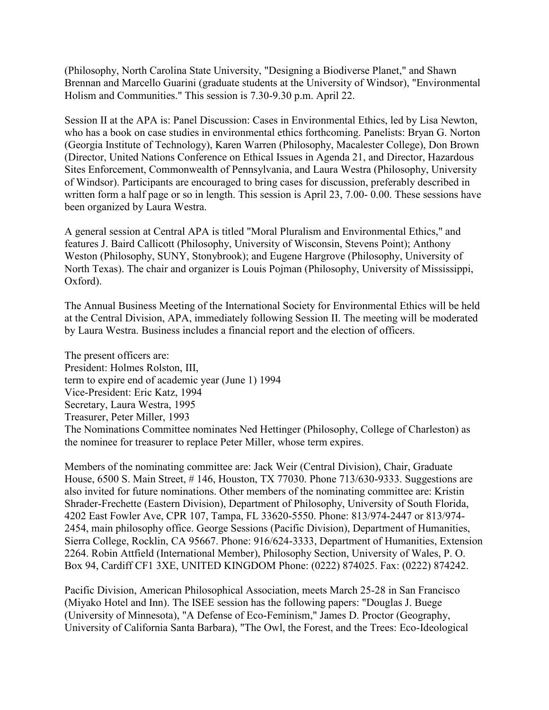(Philosophy, North Carolina State University, "Designing a Biodiverse Planet," and Shawn Brennan and Marcello Guarini (graduate students at the University of Windsor), "Environmental Holism and Communities." This session is 7.30-9.30 p.m. April 22.

Session II at the APA is: Panel Discussion: Cases in Environmental Ethics, led by Lisa Newton, who has a book on case studies in environmental ethics forthcoming. Panelists: Bryan G. Norton (Georgia Institute of Technology), Karen Warren (Philosophy, Macalester College), Don Brown (Director, United Nations Conference on Ethical Issues in Agenda 21, and Director, Hazardous Sites Enforcement, Commonwealth of Pennsylvania, and Laura Westra (Philosophy, University of Windsor). Participants are encouraged to bring cases for discussion, preferably described in written form a half page or so in length. This session is April 23, 7.00- 0.00. These sessions have been organized by Laura Westra.

A general session at Central APA is titled "Moral Pluralism and Environmental Ethics," and features J. Baird Callicott (Philosophy, University of Wisconsin, Stevens Point); Anthony Weston (Philosophy, SUNY, Stonybrook); and Eugene Hargrove (Philosophy, University of North Texas). The chair and organizer is Louis Pojman (Philosophy, University of Mississippi, Oxford).

The Annual Business Meeting of the International Society for Environmental Ethics will be held at the Central Division, APA, immediately following Session II. The meeting will be moderated by Laura Westra. Business includes a financial report and the election of officers.

The present officers are: President: Holmes Rolston, III, term to expire end of academic year (June 1) 1994 Vice-President: Eric Katz, 1994 Secretary, Laura Westra, 1995 Treasurer, Peter Miller, 1993 The Nominations Committee nominates Ned Hettinger (Philosophy, College of Charleston) as the nominee for treasurer to replace Peter Miller, whose term expires.

Members of the nominating committee are: Jack Weir (Central Division), Chair, Graduate House, 6500 S. Main Street, # 146, Houston, TX 77030. Phone 713/630-9333. Suggestions are also invited for future nominations. Other members of the nominating committee are: Kristin Shrader-Frechette (Eastern Division), Department of Philosophy, University of South Florida, 4202 East Fowler Ave, CPR 107, Tampa, FL 33620-5550. Phone: 813/974-2447 or 813/974- 2454, main philosophy office. George Sessions (Pacific Division), Department of Humanities, Sierra College, Rocklin, CA 95667. Phone: 916/624-3333, Department of Humanities, Extension 2264. Robin Attfield (International Member), Philosophy Section, University of Wales, P. O. Box 94, Cardiff CF1 3XE, UNITED KINGDOM Phone: (0222) 874025. Fax: (0222) 874242.

Pacific Division, American Philosophical Association, meets March 25-28 in San Francisco (Miyako Hotel and Inn). The ISEE session has the following papers: "Douglas J. Buege (University of Minnesota), "A Defense of Eco-Feminism," James D. Proctor (Geography, University of California Santa Barbara), "The Owl, the Forest, and the Trees: Eco-Ideological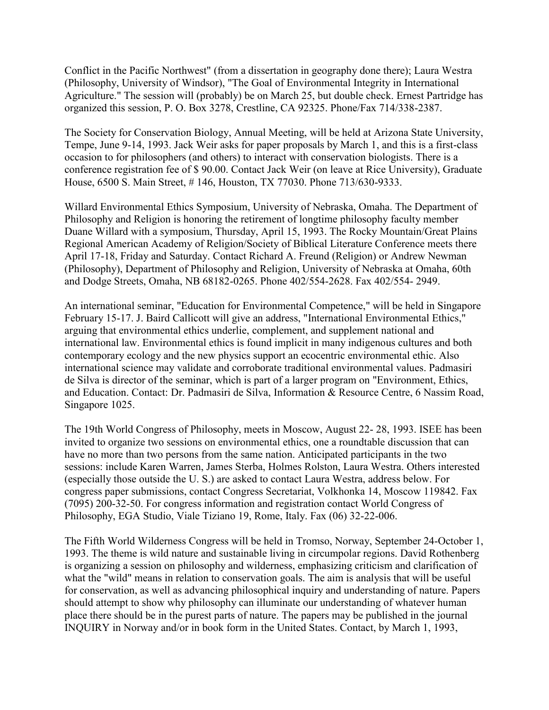Conflict in the Pacific Northwest" (from a dissertation in geography done there); Laura Westra (Philosophy, University of Windsor), "The Goal of Environmental Integrity in International Agriculture." The session will (probably) be on March 25, but double check. Ernest Partridge has organized this session, P. O. Box 3278, Crestline, CA 92325. Phone/Fax 714/338-2387.

The Society for Conservation Biology, Annual Meeting, will be held at Arizona State University, Tempe, June 9-14, 1993. Jack Weir asks for paper proposals by March 1, and this is a first-class occasion to for philosophers (and others) to interact with conservation biologists. There is a conference registration fee of \$ 90.00. Contact Jack Weir (on leave at Rice University), Graduate House, 6500 S. Main Street, # 146, Houston, TX 77030. Phone 713/630-9333.

Willard Environmental Ethics Symposium, University of Nebraska, Omaha. The Department of Philosophy and Religion is honoring the retirement of longtime philosophy faculty member Duane Willard with a symposium, Thursday, April 15, 1993. The Rocky Mountain/Great Plains Regional American Academy of Religion/Society of Biblical Literature Conference meets there April 17-18, Friday and Saturday. Contact Richard A. Freund (Religion) or Andrew Newman (Philosophy), Department of Philosophy and Religion, University of Nebraska at Omaha, 60th and Dodge Streets, Omaha, NB 68182-0265. Phone 402/554-2628. Fax 402/554- 2949.

An international seminar, "Education for Environmental Competence," will be held in Singapore February 15-17. J. Baird Callicott will give an address, "International Environmental Ethics," arguing that environmental ethics underlie, complement, and supplement national and international law. Environmental ethics is found implicit in many indigenous cultures and both contemporary ecology and the new physics support an ecocentric environmental ethic. Also international science may validate and corroborate traditional environmental values. Padmasiri de Silva is director of the seminar, which is part of a larger program on "Environment, Ethics, and Education. Contact: Dr. Padmasiri de Silva, Information & Resource Centre, 6 Nassim Road, Singapore 1025.

The 19th World Congress of Philosophy, meets in Moscow, August 22- 28, 1993. ISEE has been invited to organize two sessions on environmental ethics, one a roundtable discussion that can have no more than two persons from the same nation. Anticipated participants in the two sessions: include Karen Warren, James Sterba, Holmes Rolston, Laura Westra. Others interested (especially those outside the U. S.) are asked to contact Laura Westra, address below. For congress paper submissions, contact Congress Secretariat, Volkhonka 14, Moscow 119842. Fax (7095) 200-32-50. For congress information and registration contact World Congress of Philosophy, EGA Studio, Viale Tiziano 19, Rome, Italy. Fax (06) 32-22-006.

The Fifth World Wilderness Congress will be held in Tromso, Norway, September 24-October 1, 1993. The theme is wild nature and sustainable living in circumpolar regions. David Rothenberg is organizing a session on philosophy and wilderness, emphasizing criticism and clarification of what the "wild" means in relation to conservation goals. The aim is analysis that will be useful for conservation, as well as advancing philosophical inquiry and understanding of nature. Papers should attempt to show why philosophy can illuminate our understanding of whatever human place there should be in the purest parts of nature. The papers may be published in the journal INQUIRY in Norway and/or in book form in the United States. Contact, by March 1, 1993,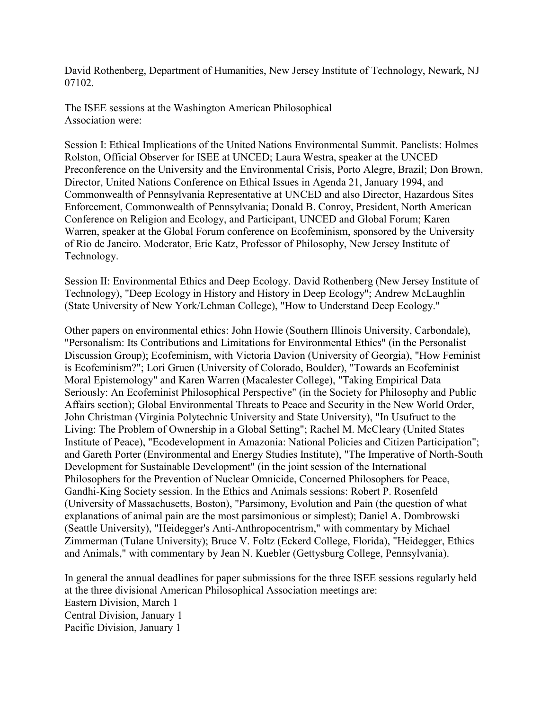David Rothenberg, Department of Humanities, New Jersey Institute of Technology, Newark, NJ 07102.

The ISEE sessions at the Washington American Philosophical Association were:

Session I: Ethical Implications of the United Nations Environmental Summit. Panelists: Holmes Rolston, Official Observer for ISEE at UNCED; Laura Westra, speaker at the UNCED Preconference on the University and the Environmental Crisis, Porto Alegre, Brazil; Don Brown, Director, United Nations Conference on Ethical Issues in Agenda 21, January 1994, and Commonwealth of Pennsylvania Representative at UNCED and also Director, Hazardous Sites Enforcement, Commonwealth of Pennsylvania; Donald B. Conroy, President, North American Conference on Religion and Ecology, and Participant, UNCED and Global Forum; Karen Warren, speaker at the Global Forum conference on Ecofeminism, sponsored by the University of Rio de Janeiro. Moderator, Eric Katz, Professor of Philosophy, New Jersey Institute of Technology.

Session II: Environmental Ethics and Deep Ecology. David Rothenberg (New Jersey Institute of Technology), "Deep Ecology in History and History in Deep Ecology"; Andrew McLaughlin (State University of New York/Lehman College), "How to Understand Deep Ecology."

Other papers on environmental ethics: John Howie (Southern Illinois University, Carbondale), "Personalism: Its Contributions and Limitations for Environmental Ethics" (in the Personalist Discussion Group); Ecofeminism, with Victoria Davion (University of Georgia), "How Feminist is Ecofeminism?"; Lori Gruen (University of Colorado, Boulder), "Towards an Ecofeminist Moral Epistemology" and Karen Warren (Macalester College), "Taking Empirical Data Seriously: An Ecofeminist Philosophical Perspective" (in the Society for Philosophy and Public Affairs section); Global Environmental Threats to Peace and Security in the New World Order, John Christman (Virginia Polytechnic University and State University), "In Usufruct to the Living: The Problem of Ownership in a Global Setting"; Rachel M. McCleary (United States Institute of Peace), "Ecodevelopment in Amazonia: National Policies and Citizen Participation"; and Gareth Porter (Environmental and Energy Studies Institute), "The Imperative of North-South Development for Sustainable Development" (in the joint session of the International Philosophers for the Prevention of Nuclear Omnicide, Concerned Philosophers for Peace, Gandhi-King Society session. In the Ethics and Animals sessions: Robert P. Rosenfeld (University of Massachusetts, Boston), "Parsimony, Evolution and Pain (the question of what explanations of animal pain are the most parsimonious or simplest); Daniel A. Dombrowski (Seattle University), "Heidegger's Anti-Anthropocentrism," with commentary by Michael Zimmerman (Tulane University); Bruce V. Foltz (Eckerd College, Florida), "Heidegger, Ethics and Animals," with commentary by Jean N. Kuebler (Gettysburg College, Pennsylvania).

In general the annual deadlines for paper submissions for the three ISEE sessions regularly held at the three divisional American Philosophical Association meetings are: Eastern Division, March 1 Central Division, January 1 Pacific Division, January 1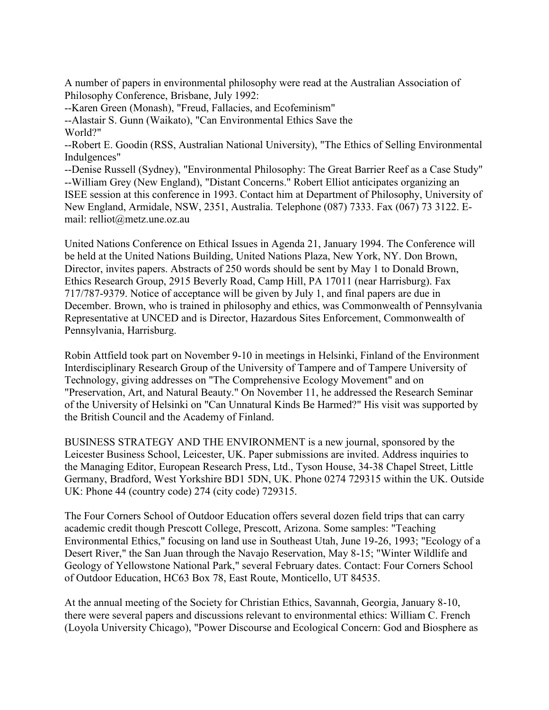A number of papers in environmental philosophy were read at the Australian Association of Philosophy Conference, Brisbane, July 1992:

--Karen Green (Monash), "Freud, Fallacies, and Ecofeminism"

--Alastair S. Gunn (Waikato), "Can Environmental Ethics Save the World?"

--Robert E. Goodin (RSS, Australian National University), "The Ethics of Selling Environmental Indulgences"

--Denise Russell (Sydney), "Environmental Philosophy: The Great Barrier Reef as a Case Study" --William Grey (New England), "Distant Concerns." Robert Elliot anticipates organizing an ISEE session at this conference in 1993. Contact him at Department of Philosophy, University of New England, Armidale, NSW, 2351, Australia. Telephone (087) 7333. Fax (067) 73 3122. Email: relliot@metz.une.oz.au

United Nations Conference on Ethical Issues in Agenda 21, January 1994. The Conference will be held at the United Nations Building, United Nations Plaza, New York, NY. Don Brown, Director, invites papers. Abstracts of 250 words should be sent by May 1 to Donald Brown, Ethics Research Group, 2915 Beverly Road, Camp Hill, PA 17011 (near Harrisburg). Fax 717/787-9379. Notice of acceptance will be given by July 1, and final papers are due in December. Brown, who is trained in philosophy and ethics, was Commonwealth of Pennsylvania Representative at UNCED and is Director, Hazardous Sites Enforcement, Commonwealth of Pennsylvania, Harrisburg.

Robin Attfield took part on November 9-10 in meetings in Helsinki, Finland of the Environment Interdisciplinary Research Group of the University of Tampere and of Tampere University of Technology, giving addresses on "The Comprehensive Ecology Movement" and on "Preservation, Art, and Natural Beauty." On November 11, he addressed the Research Seminar of the University of Helsinki on "Can Unnatural Kinds Be Harmed?" His visit was supported by the British Council and the Academy of Finland.

BUSINESS STRATEGY AND THE ENVIRONMENT is a new journal, sponsored by the Leicester Business School, Leicester, UK. Paper submissions are invited. Address inquiries to the Managing Editor, European Research Press, Ltd., Tyson House, 34-38 Chapel Street, Little Germany, Bradford, West Yorkshire BD1 5DN, UK. Phone 0274 729315 within the UK. Outside UK: Phone 44 (country code) 274 (city code) 729315.

The Four Corners School of Outdoor Education offers several dozen field trips that can carry academic credit though Prescott College, Prescott, Arizona. Some samples: "Teaching Environmental Ethics," focusing on land use in Southeast Utah, June 19-26, 1993; "Ecology of a Desert River," the San Juan through the Navajo Reservation, May 8-15; "Winter Wildlife and Geology of Yellowstone National Park," several February dates. Contact: Four Corners School of Outdoor Education, HC63 Box 78, East Route, Monticello, UT 84535.

At the annual meeting of the Society for Christian Ethics, Savannah, Georgia, January 8-10, there were several papers and discussions relevant to environmental ethics: William C. French (Loyola University Chicago), "Power Discourse and Ecological Concern: God and Biosphere as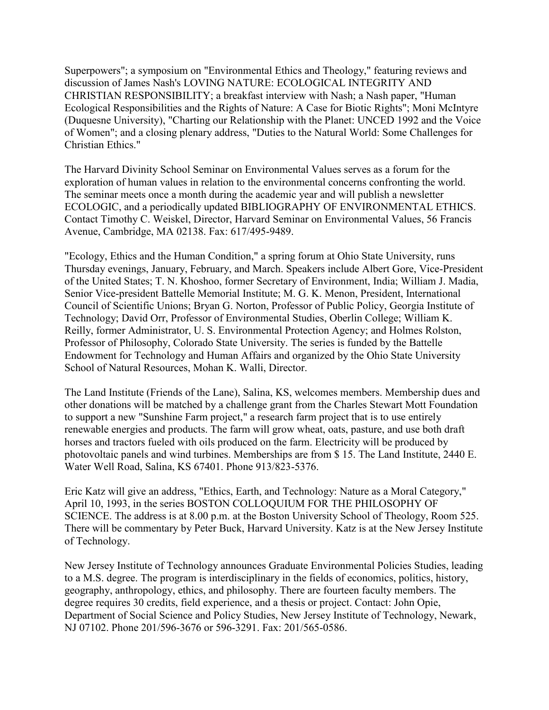Superpowers"; a symposium on "Environmental Ethics and Theology," featuring reviews and discussion of James Nash's LOVING NATURE: ECOLOGICAL INTEGRITY AND CHRISTIAN RESPONSIBILITY; a breakfast interview with Nash; a Nash paper, "Human Ecological Responsibilities and the Rights of Nature: A Case for Biotic Rights"; Moni McIntyre (Duquesne University), "Charting our Relationship with the Planet: UNCED 1992 and the Voice of Women"; and a closing plenary address, "Duties to the Natural World: Some Challenges for Christian Ethics."

The Harvard Divinity School Seminar on Environmental Values serves as a forum for the exploration of human values in relation to the environmental concerns confronting the world. The seminar meets once a month during the academic year and will publish a newsletter ECOLOGIC, and a periodically updated BIBLIOGRAPHY OF ENVIRONMENTAL ETHICS. Contact Timothy C. Weiskel, Director, Harvard Seminar on Environmental Values, 56 Francis Avenue, Cambridge, MA 02138. Fax: 617/495-9489.

"Ecology, Ethics and the Human Condition," a spring forum at Ohio State University, runs Thursday evenings, January, February, and March. Speakers include Albert Gore, Vice-President of the United States; T. N. Khoshoo, former Secretary of Environment, India; William J. Madia, Senior Vice-president Battelle Memorial Institute; M. G. K. Menon, President, International Council of Scientific Unions; Bryan G. Norton, Professor of Public Policy, Georgia Institute of Technology; David Orr, Professor of Environmental Studies, Oberlin College; William K. Reilly, former Administrator, U. S. Environmental Protection Agency; and Holmes Rolston, Professor of Philosophy, Colorado State University. The series is funded by the Battelle Endowment for Technology and Human Affairs and organized by the Ohio State University School of Natural Resources, Mohan K. Walli, Director.

The Land Institute (Friends of the Lane), Salina, KS, welcomes members. Membership dues and other donations will be matched by a challenge grant from the Charles Stewart Mott Foundation to support a new "Sunshine Farm project," a research farm project that is to use entirely renewable energies and products. The farm will grow wheat, oats, pasture, and use both draft horses and tractors fueled with oils produced on the farm. Electricity will be produced by photovoltaic panels and wind turbines. Memberships are from \$ 15. The Land Institute, 2440 E. Water Well Road, Salina, KS 67401. Phone 913/823-5376.

Eric Katz will give an address, "Ethics, Earth, and Technology: Nature as a Moral Category," April 10, 1993, in the series BOSTON COLLOQUIUM FOR THE PHILOSOPHY OF SCIENCE. The address is at 8.00 p.m. at the Boston University School of Theology, Room 525. There will be commentary by Peter Buck, Harvard University. Katz is at the New Jersey Institute of Technology.

New Jersey Institute of Technology announces Graduate Environmental Policies Studies, leading to a M.S. degree. The program is interdisciplinary in the fields of economics, politics, history, geography, anthropology, ethics, and philosophy. There are fourteen faculty members. The degree requires 30 credits, field experience, and a thesis or project. Contact: John Opie, Department of Social Science and Policy Studies, New Jersey Institute of Technology, Newark, NJ 07102. Phone 201/596-3676 or 596-3291. Fax: 201/565-0586.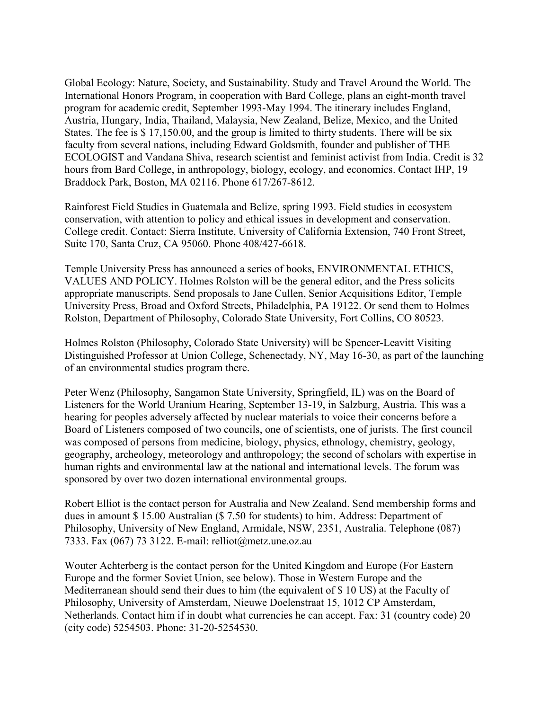Global Ecology: Nature, Society, and Sustainability. Study and Travel Around the World. The International Honors Program, in cooperation with Bard College, plans an eight-month travel program for academic credit, September 1993-May 1994. The itinerary includes England, Austria, Hungary, India, Thailand, Malaysia, New Zealand, Belize, Mexico, and the United States. The fee is \$ 17,150.00, and the group is limited to thirty students. There will be six faculty from several nations, including Edward Goldsmith, founder and publisher of THE ECOLOGIST and Vandana Shiva, research scientist and feminist activist from India. Credit is 32 hours from Bard College, in anthropology, biology, ecology, and economics. Contact IHP, 19 Braddock Park, Boston, MA 02116. Phone 617/267-8612.

Rainforest Field Studies in Guatemala and Belize, spring 1993. Field studies in ecosystem conservation, with attention to policy and ethical issues in development and conservation. College credit. Contact: Sierra Institute, University of California Extension, 740 Front Street, Suite 170, Santa Cruz, CA 95060. Phone 408/427-6618.

Temple University Press has announced a series of books, ENVIRONMENTAL ETHICS, VALUES AND POLICY. Holmes Rolston will be the general editor, and the Press solicits appropriate manuscripts. Send proposals to Jane Cullen, Senior Acquisitions Editor, Temple University Press, Broad and Oxford Streets, Philadelphia, PA 19122. Or send them to Holmes Rolston, Department of Philosophy, Colorado State University, Fort Collins, CO 80523.

Holmes Rolston (Philosophy, Colorado State University) will be Spencer-Leavitt Visiting Distinguished Professor at Union College, Schenectady, NY, May 16-30, as part of the launching of an environmental studies program there.

Peter Wenz (Philosophy, Sangamon State University, Springfield, IL) was on the Board of Listeners for the World Uranium Hearing, September 13-19, in Salzburg, Austria. This was a hearing for peoples adversely affected by nuclear materials to voice their concerns before a Board of Listeners composed of two councils, one of scientists, one of jurists. The first council was composed of persons from medicine, biology, physics, ethnology, chemistry, geology, geography, archeology, meteorology and anthropology; the second of scholars with expertise in human rights and environmental law at the national and international levels. The forum was sponsored by over two dozen international environmental groups.

Robert Elliot is the contact person for Australia and New Zealand. Send membership forms and dues in amount \$ 15.00 Australian (\$ 7.50 for students) to him. Address: Department of Philosophy, University of New England, Armidale, NSW, 2351, Australia. Telephone (087) 7333. Fax (067) 73 3122. E-mail: relliot@metz.une.oz.au

Wouter Achterberg is the contact person for the United Kingdom and Europe (For Eastern Europe and the former Soviet Union, see below). Those in Western Europe and the Mediterranean should send their dues to him (the equivalent of \$ 10 US) at the Faculty of Philosophy, University of Amsterdam, Nieuwe Doelenstraat 15, 1012 CP Amsterdam, Netherlands. Contact him if in doubt what currencies he can accept. Fax: 31 (country code) 20 (city code) 5254503. Phone: 31-20-5254530.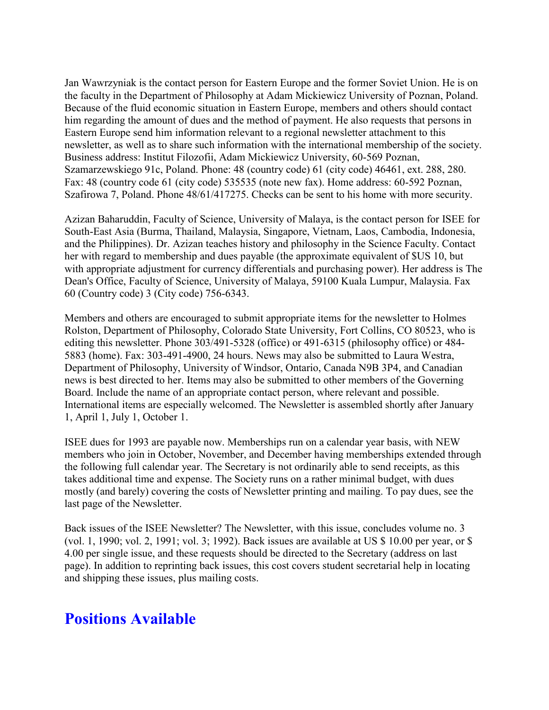Jan Wawrzyniak is the contact person for Eastern Europe and the former Soviet Union. He is on the faculty in the Department of Philosophy at Adam Mickiewicz University of Poznan, Poland. Because of the fluid economic situation in Eastern Europe, members and others should contact him regarding the amount of dues and the method of payment. He also requests that persons in Eastern Europe send him information relevant to a regional newsletter attachment to this newsletter, as well as to share such information with the international membership of the society. Business address: Institut Filozofii, Adam Mickiewicz University, 60-569 Poznan, Szamarzewskiego 91c, Poland. Phone: 48 (country code) 61 (city code) 46461, ext. 288, 280. Fax: 48 (country code 61 (city code) 535535 (note new fax). Home address: 60-592 Poznan, Szafirowa 7, Poland. Phone 48/61/417275. Checks can be sent to his home with more security.

Azizan Baharuddin, Faculty of Science, University of Malaya, is the contact person for ISEE for South-East Asia (Burma, Thailand, Malaysia, Singapore, Vietnam, Laos, Cambodia, Indonesia, and the Philippines). Dr. Azizan teaches history and philosophy in the Science Faculty. Contact her with regard to membership and dues payable (the approximate equivalent of \$US 10, but with appropriate adjustment for currency differentials and purchasing power). Her address is The Dean's Office, Faculty of Science, University of Malaya, 59100 Kuala Lumpur, Malaysia. Fax 60 (Country code) 3 (City code) 756-6343.

Members and others are encouraged to submit appropriate items for the newsletter to Holmes Rolston, Department of Philosophy, Colorado State University, Fort Collins, CO 80523, who is editing this newsletter. Phone 303/491-5328 (office) or 491-6315 (philosophy office) or 484- 5883 (home). Fax: 303-491-4900, 24 hours. News may also be submitted to Laura Westra, Department of Philosophy, University of Windsor, Ontario, Canada N9B 3P4, and Canadian news is best directed to her. Items may also be submitted to other members of the Governing Board. Include the name of an appropriate contact person, where relevant and possible. International items are especially welcomed. The Newsletter is assembled shortly after January 1, April 1, July 1, October 1.

ISEE dues for 1993 are payable now. Memberships run on a calendar year basis, with NEW members who join in October, November, and December having memberships extended through the following full calendar year. The Secretary is not ordinarily able to send receipts, as this takes additional time and expense. The Society runs on a rather minimal budget, with dues mostly (and barely) covering the costs of Newsletter printing and mailing. To pay dues, see the last page of the Newsletter.

Back issues of the ISEE Newsletter? The Newsletter, with this issue, concludes volume no. 3 (vol. 1, 1990; vol. 2, 1991; vol. 3; 1992). Back issues are available at US \$ 10.00 per year, or \$ 4.00 per single issue, and these requests should be directed to the Secretary (address on last page). In addition to reprinting back issues, this cost covers student secretarial help in locating and shipping these issues, plus mailing costs.

### **Positions Available**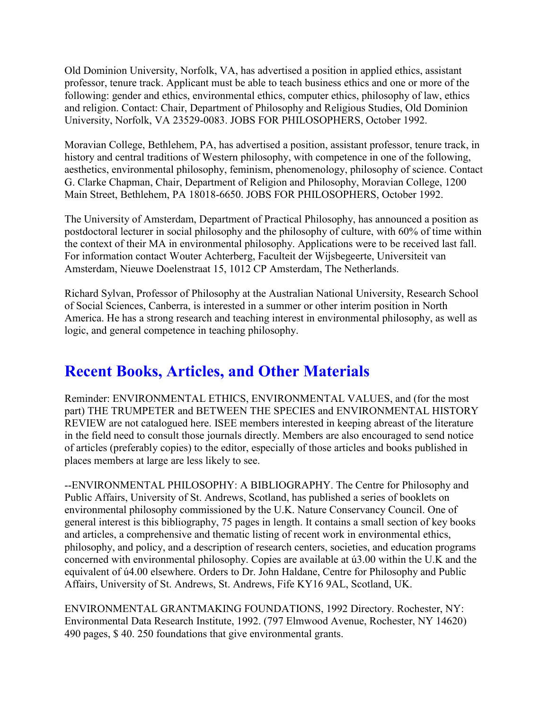Old Dominion University, Norfolk, VA, has advertised a position in applied ethics, assistant professor, tenure track. Applicant must be able to teach business ethics and one or more of the following: gender and ethics, environmental ethics, computer ethics, philosophy of law, ethics and religion. Contact: Chair, Department of Philosophy and Religious Studies, Old Dominion University, Norfolk, VA 23529-0083. JOBS FOR PHILOSOPHERS, October 1992.

Moravian College, Bethlehem, PA, has advertised a position, assistant professor, tenure track, in history and central traditions of Western philosophy, with competence in one of the following, aesthetics, environmental philosophy, feminism, phenomenology, philosophy of science. Contact G. Clarke Chapman, Chair, Department of Religion and Philosophy, Moravian College, 1200 Main Street, Bethlehem, PA 18018-6650. JOBS FOR PHILOSOPHERS, October 1992.

The University of Amsterdam, Department of Practical Philosophy, has announced a position as postdoctoral lecturer in social philosophy and the philosophy of culture, with 60% of time within the context of their MA in environmental philosophy. Applications were to be received last fall. For information contact Wouter Achterberg, Faculteit der Wijsbegeerte, Universiteit van Amsterdam, Nieuwe Doelenstraat 15, 1012 CP Amsterdam, The Netherlands.

Richard Sylvan, Professor of Philosophy at the Australian National University, Research School of Social Sciences, Canberra, is interested in a summer or other interim position in North America. He has a strong research and teaching interest in environmental philosophy, as well as logic, and general competence in teaching philosophy.

# **Recent Books, Articles, and Other Materials**

Reminder: ENVIRONMENTAL ETHICS, ENVIRONMENTAL VALUES, and (for the most part) THE TRUMPETER and BETWEEN THE SPECIES and ENVIRONMENTAL HISTORY REVIEW are not catalogued here. ISEE members interested in keeping abreast of the literature in the field need to consult those journals directly. Members are also encouraged to send notice of articles (preferably copies) to the editor, especially of those articles and books published in places members at large are less likely to see.

--ENVIRONMENTAL PHILOSOPHY: A BIBLIOGRAPHY. The Centre for Philosophy and Public Affairs, University of St. Andrews, Scotland, has published a series of booklets on environmental philosophy commissioned by the U.K. Nature Conservancy Council. One of general interest is this bibliography, 75 pages in length. It contains a small section of key books and articles, a comprehensive and thematic listing of recent work in environmental ethics, philosophy, and policy, and a description of research centers, societies, and education programs concerned with environmental philosophy. Copies are available at ú3.00 within the U.K and the equivalent of ú4.00 elsewhere. Orders to Dr. John Haldane, Centre for Philosophy and Public Affairs, University of St. Andrews, St. Andrews, Fife KY16 9AL, Scotland, UK.

ENVIRONMENTAL GRANTMAKING FOUNDATIONS, 1992 Directory. Rochester, NY: Environmental Data Research Institute, 1992. (797 Elmwood Avenue, Rochester, NY 14620) 490 pages, \$ 40. 250 foundations that give environmental grants.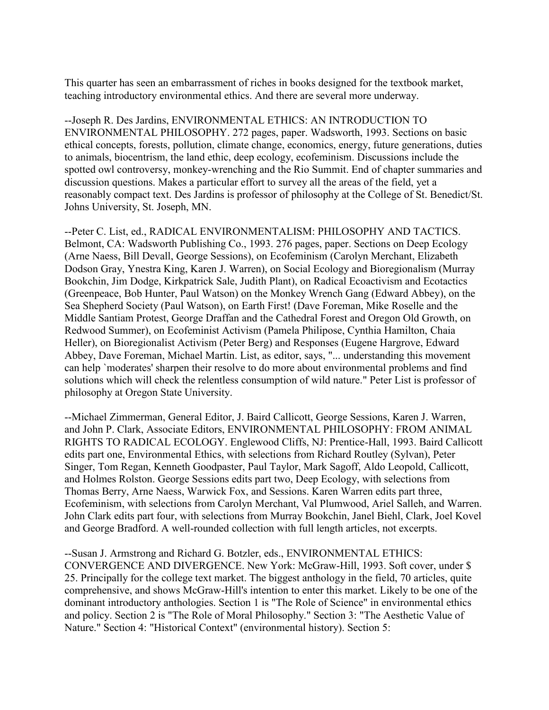This quarter has seen an embarrassment of riches in books designed for the textbook market, teaching introductory environmental ethics. And there are several more underway.

--Joseph R. Des Jardins, ENVIRONMENTAL ETHICS: AN INTRODUCTION TO ENVIRONMENTAL PHILOSOPHY. 272 pages, paper. Wadsworth, 1993. Sections on basic ethical concepts, forests, pollution, climate change, economics, energy, future generations, duties to animals, biocentrism, the land ethic, deep ecology, ecofeminism. Discussions include the spotted owl controversy, monkey-wrenching and the Rio Summit. End of chapter summaries and discussion questions. Makes a particular effort to survey all the areas of the field, yet a reasonably compact text. Des Jardins is professor of philosophy at the College of St. Benedict/St. Johns University, St. Joseph, MN.

--Peter C. List, ed., RADICAL ENVIRONMENTALISM: PHILOSOPHY AND TACTICS. Belmont, CA: Wadsworth Publishing Co., 1993. 276 pages, paper. Sections on Deep Ecology (Arne Naess, Bill Devall, George Sessions), on Ecofeminism (Carolyn Merchant, Elizabeth Dodson Gray, Ynestra King, Karen J. Warren), on Social Ecology and Bioregionalism (Murray Bookchin, Jim Dodge, Kirkpatrick Sale, Judith Plant), on Radical Ecoactivism and Ecotactics (Greenpeace, Bob Hunter, Paul Watson) on the Monkey Wrench Gang (Edward Abbey), on the Sea Shepherd Society (Paul Watson), on Earth First! (Dave Foreman, Mike Roselle and the Middle Santiam Protest, George Draffan and the Cathedral Forest and Oregon Old Growth, on Redwood Summer), on Ecofeminist Activism (Pamela Philipose, Cynthia Hamilton, Chaia Heller), on Bioregionalist Activism (Peter Berg) and Responses (Eugene Hargrove, Edward Abbey, Dave Foreman, Michael Martin. List, as editor, says, "... understanding this movement can help `moderates' sharpen their resolve to do more about environmental problems and find solutions which will check the relentless consumption of wild nature." Peter List is professor of philosophy at Oregon State University.

--Michael Zimmerman, General Editor, J. Baird Callicott, George Sessions, Karen J. Warren, and John P. Clark, Associate Editors, ENVIRONMENTAL PHILOSOPHY: FROM ANIMAL RIGHTS TO RADICAL ECOLOGY. Englewood Cliffs, NJ: Prentice-Hall, 1993. Baird Callicott edits part one, Environmental Ethics, with selections from Richard Routley (Sylvan), Peter Singer, Tom Regan, Kenneth Goodpaster, Paul Taylor, Mark Sagoff, Aldo Leopold, Callicott, and Holmes Rolston. George Sessions edits part two, Deep Ecology, with selections from Thomas Berry, Arne Naess, Warwick Fox, and Sessions. Karen Warren edits part three, Ecofeminism, with selections from Carolyn Merchant, Val Plumwood, Ariel Salleh, and Warren. John Clark edits part four, with selections from Murray Bookchin, Janel Biehl, Clark, Joel Kovel and George Bradford. A well-rounded collection with full length articles, not excerpts.

--Susan J. Armstrong and Richard G. Botzler, eds., ENVIRONMENTAL ETHICS: CONVERGENCE AND DIVERGENCE. New York: McGraw-Hill, 1993. Soft cover, under \$ 25. Principally for the college text market. The biggest anthology in the field, 70 articles, quite comprehensive, and shows McGraw-Hill's intention to enter this market. Likely to be one of the dominant introductory anthologies. Section 1 is "The Role of Science" in environmental ethics and policy. Section 2 is "The Role of Moral Philosophy." Section 3: "The Aesthetic Value of Nature." Section 4: "Historical Context" (environmental history). Section 5: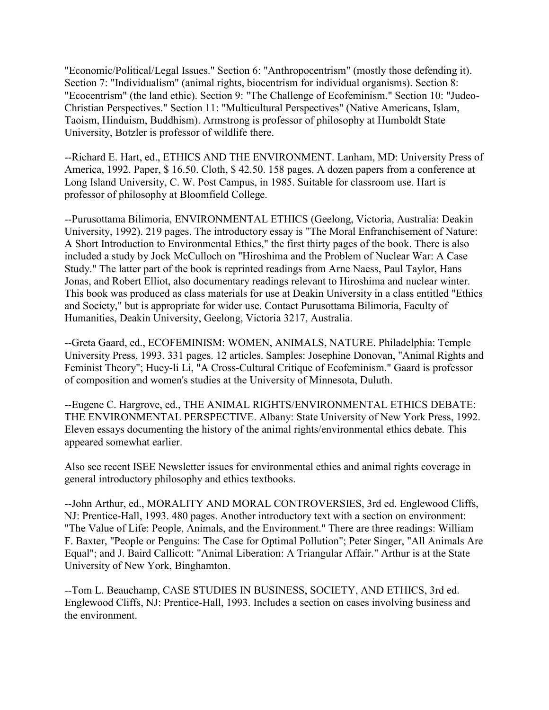"Economic/Political/Legal Issues." Section 6: "Anthropocentrism" (mostly those defending it). Section 7: "Individualism" (animal rights, biocentrism for individual organisms). Section 8: "Ecocentrism" (the land ethic). Section 9: "The Challenge of Ecofeminism." Section 10: "Judeo-Christian Perspectives." Section 11: "Multicultural Perspectives" (Native Americans, Islam, Taoism, Hinduism, Buddhism). Armstrong is professor of philosophy at Humboldt State University, Botzler is professor of wildlife there.

--Richard E. Hart, ed., ETHICS AND THE ENVIRONMENT. Lanham, MD: University Press of America, 1992. Paper, \$ 16.50. Cloth, \$ 42.50. 158 pages. A dozen papers from a conference at Long Island University, C. W. Post Campus, in 1985. Suitable for classroom use. Hart is professor of philosophy at Bloomfield College.

--Purusottama Bilimoria, ENVIRONMENTAL ETHICS (Geelong, Victoria, Australia: Deakin University, 1992). 219 pages. The introductory essay is "The Moral Enfranchisement of Nature: A Short Introduction to Environmental Ethics," the first thirty pages of the book. There is also included a study by Jock McCulloch on "Hiroshima and the Problem of Nuclear War: A Case Study." The latter part of the book is reprinted readings from Arne Naess, Paul Taylor, Hans Jonas, and Robert Elliot, also documentary readings relevant to Hiroshima and nuclear winter. This book was produced as class materials for use at Deakin University in a class entitled "Ethics and Society," but is appropriate for wider use. Contact Purusottama Bilimoria, Faculty of Humanities, Deakin University, Geelong, Victoria 3217, Australia.

--Greta Gaard, ed., ECOFEMINISM: WOMEN, ANIMALS, NATURE. Philadelphia: Temple University Press, 1993. 331 pages. 12 articles. Samples: Josephine Donovan, "Animal Rights and Feminist Theory"; Huey-li Li, "A Cross-Cultural Critique of Ecofeminism." Gaard is professor of composition and women's studies at the University of Minnesota, Duluth.

--Eugene C. Hargrove, ed., THE ANIMAL RIGHTS/ENVIRONMENTAL ETHICS DEBATE: THE ENVIRONMENTAL PERSPECTIVE. Albany: State University of New York Press, 1992. Eleven essays documenting the history of the animal rights/environmental ethics debate. This appeared somewhat earlier.

Also see recent ISEE Newsletter issues for environmental ethics and animal rights coverage in general introductory philosophy and ethics textbooks.

--John Arthur, ed., MORALITY AND MORAL CONTROVERSIES, 3rd ed. Englewood Cliffs, NJ: Prentice-Hall, 1993. 480 pages. Another introductory text with a section on environment: "The Value of Life: People, Animals, and the Environment." There are three readings: William F. Baxter, "People or Penguins: The Case for Optimal Pollution"; Peter Singer, "All Animals Are Equal"; and J. Baird Callicott: "Animal Liberation: A Triangular Affair." Arthur is at the State University of New York, Binghamton.

--Tom L. Beauchamp, CASE STUDIES IN BUSINESS, SOCIETY, AND ETHICS, 3rd ed. Englewood Cliffs, NJ: Prentice-Hall, 1993. Includes a section on cases involving business and the environment.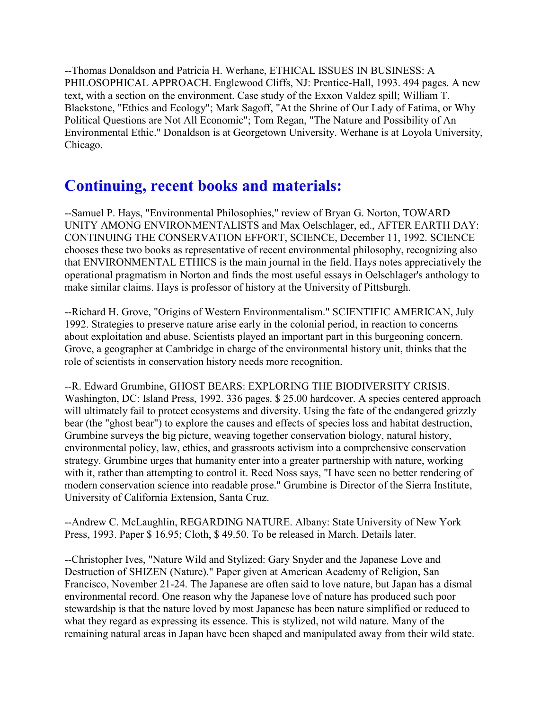--Thomas Donaldson and Patricia H. Werhane, ETHICAL ISSUES IN BUSINESS: A PHILOSOPHICAL APPROACH. Englewood Cliffs, NJ: Prentice-Hall, 1993. 494 pages. A new text, with a section on the environment. Case study of the Exxon Valdez spill; William T. Blackstone, "Ethics and Ecology"; Mark Sagoff, "At the Shrine of Our Lady of Fatima, or Why Political Questions are Not All Economic"; Tom Regan, "The Nature and Possibility of An Environmental Ethic." Donaldson is at Georgetown University. Werhane is at Loyola University, Chicago.

# **Continuing, recent books and materials:**

--Samuel P. Hays, "Environmental Philosophies," review of Bryan G. Norton, TOWARD UNITY AMONG ENVIRONMENTALISTS and Max Oelschlager, ed., AFTER EARTH DAY: CONTINUING THE CONSERVATION EFFORT, SCIENCE, December 11, 1992. SCIENCE chooses these two books as representative of recent environmental philosophy, recognizing also that ENVIRONMENTAL ETHICS is the main journal in the field. Hays notes appreciatively the operational pragmatism in Norton and finds the most useful essays in Oelschlager's anthology to make similar claims. Hays is professor of history at the University of Pittsburgh.

--Richard H. Grove, "Origins of Western Environmentalism." SCIENTIFIC AMERICAN, July 1992. Strategies to preserve nature arise early in the colonial period, in reaction to concerns about exploitation and abuse. Scientists played an important part in this burgeoning concern. Grove, a geographer at Cambridge in charge of the environmental history unit, thinks that the role of scientists in conservation history needs more recognition.

--R. Edward Grumbine, GHOST BEARS: EXPLORING THE BIODIVERSITY CRISIS. Washington, DC: Island Press, 1992. 336 pages. \$ 25.00 hardcover. A species centered approach will ultimately fail to protect ecosystems and diversity. Using the fate of the endangered grizzly bear (the "ghost bear") to explore the causes and effects of species loss and habitat destruction, Grumbine surveys the big picture, weaving together conservation biology, natural history, environmental policy, law, ethics, and grassroots activism into a comprehensive conservation strategy. Grumbine urges that humanity enter into a greater partnership with nature, working with it, rather than attempting to control it. Reed Noss says, "I have seen no better rendering of modern conservation science into readable prose." Grumbine is Director of the Sierra Institute, University of California Extension, Santa Cruz.

--Andrew C. McLaughlin, REGARDING NATURE. Albany: State University of New York Press, 1993. Paper \$ 16.95; Cloth, \$ 49.50. To be released in March. Details later.

--Christopher Ives, "Nature Wild and Stylized: Gary Snyder and the Japanese Love and Destruction of SHIZEN (Nature)." Paper given at American Academy of Religion, San Francisco, November 21-24. The Japanese are often said to love nature, but Japan has a dismal environmental record. One reason why the Japanese love of nature has produced such poor stewardship is that the nature loved by most Japanese has been nature simplified or reduced to what they regard as expressing its essence. This is stylized, not wild nature. Many of the remaining natural areas in Japan have been shaped and manipulated away from their wild state.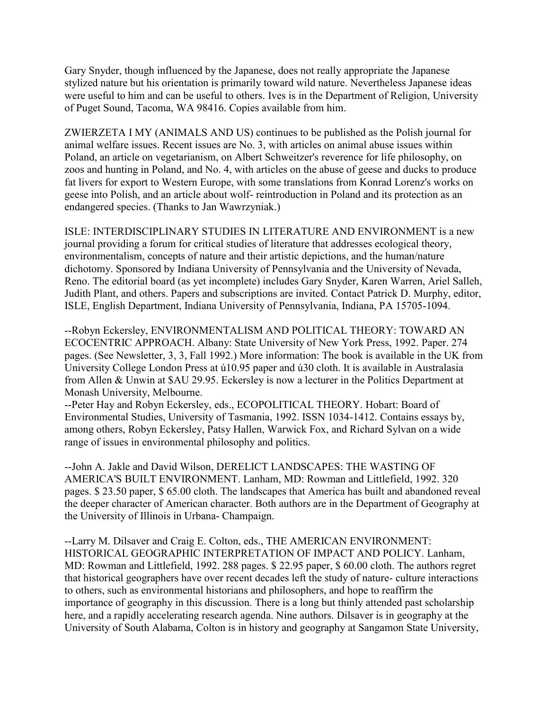Gary Snyder, though influenced by the Japanese, does not really appropriate the Japanese stylized nature but his orientation is primarily toward wild nature. Nevertheless Japanese ideas were useful to him and can be useful to others. Ives is in the Department of Religion, University of Puget Sound, Tacoma, WA 98416. Copies available from him.

ZWIERZETA I MY (ANIMALS AND US) continues to be published as the Polish journal for animal welfare issues. Recent issues are No. 3, with articles on animal abuse issues within Poland, an article on vegetarianism, on Albert Schweitzer's reverence for life philosophy, on zoos and hunting in Poland, and No. 4, with articles on the abuse of geese and ducks to produce fat livers for export to Western Europe, with some translations from Konrad Lorenz's works on geese into Polish, and an article about wolf- reintroduction in Poland and its protection as an endangered species. (Thanks to Jan Wawrzyniak.)

ISLE: INTERDISCIPLINARY STUDIES IN LITERATURE AND ENVIRONMENT is a new journal providing a forum for critical studies of literature that addresses ecological theory, environmentalism, concepts of nature and their artistic depictions, and the human/nature dichotomy. Sponsored by Indiana University of Pennsylvania and the University of Nevada, Reno. The editorial board (as yet incomplete) includes Gary Snyder, Karen Warren, Ariel Salleh, Judith Plant, and others. Papers and subscriptions are invited. Contact Patrick D. Murphy, editor, ISLE, English Department, Indiana University of Pennsylvania, Indiana, PA 15705-1094.

--Robyn Eckersley, ENVIRONMENTALISM AND POLITICAL THEORY: TOWARD AN ECOCENTRIC APPROACH. Albany: State University of New York Press, 1992. Paper. 274 pages. (See Newsletter, 3, 3, Fall 1992.) More information: The book is available in the UK from University College London Press at ú10.95 paper and ú30 cloth. It is available in Australasia from Allen & Unwin at \$AU 29.95. Eckersley is now a lecturer in the Politics Department at Monash University, Melbourne.

--Peter Hay and Robyn Eckersley, eds., ECOPOLITICAL THEORY. Hobart: Board of Environmental Studies, University of Tasmania, 1992. ISSN 1034-1412. Contains essays by, among others, Robyn Eckersley, Patsy Hallen, Warwick Fox, and Richard Sylvan on a wide range of issues in environmental philosophy and politics.

--John A. Jakle and David Wilson, DERELICT LANDSCAPES: THE WASTING OF AMERICA'S BUILT ENVIRONMENT. Lanham, MD: Rowman and Littlefield, 1992. 320 pages. \$ 23.50 paper, \$ 65.00 cloth. The landscapes that America has built and abandoned reveal the deeper character of American character. Both authors are in the Department of Geography at the University of Illinois in Urbana- Champaign.

--Larry M. Dilsaver and Craig E. Colton, eds., THE AMERICAN ENVIRONMENT: HISTORICAL GEOGRAPHIC INTERPRETATION OF IMPACT AND POLICY. Lanham, MD: Rowman and Littlefield, 1992. 288 pages. \$ 22.95 paper, \$ 60.00 cloth. The authors regret that historical geographers have over recent decades left the study of nature- culture interactions to others, such as environmental historians and philosophers, and hope to reaffirm the importance of geography in this discussion. There is a long but thinly attended past scholarship here, and a rapidly accelerating research agenda. Nine authors. Dilsaver is in geography at the University of South Alabama, Colton is in history and geography at Sangamon State University,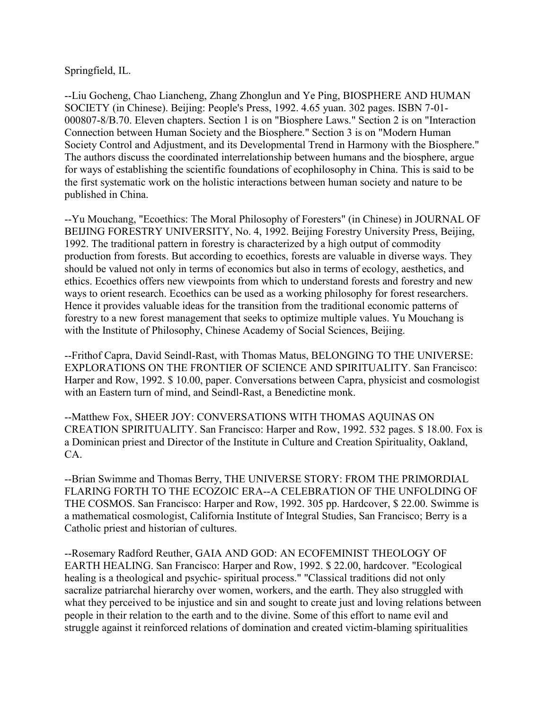Springfield, IL.

--Liu Gocheng, Chao Liancheng, Zhang Zhonglun and Ye Ping, BIOSPHERE AND HUMAN SOCIETY (in Chinese). Beijing: People's Press, 1992. 4.65 yuan. 302 pages. ISBN 7-01- 000807-8/B.70. Eleven chapters. Section 1 is on "Biosphere Laws." Section 2 is on "Interaction Connection between Human Society and the Biosphere." Section 3 is on "Modern Human Society Control and Adjustment, and its Developmental Trend in Harmony with the Biosphere." The authors discuss the coordinated interrelationship between humans and the biosphere, argue for ways of establishing the scientific foundations of ecophilosophy in China. This is said to be the first systematic work on the holistic interactions between human society and nature to be published in China.

--Yu Mouchang, "Ecoethics: The Moral Philosophy of Foresters" (in Chinese) in JOURNAL OF BEIJING FORESTRY UNIVERSITY, No. 4, 1992. Beijing Forestry University Press, Beijing, 1992. The traditional pattern in forestry is characterized by a high output of commodity production from forests. But according to ecoethics, forests are valuable in diverse ways. They should be valued not only in terms of economics but also in terms of ecology, aesthetics, and ethics. Ecoethics offers new viewpoints from which to understand forests and forestry and new ways to orient research. Ecoethics can be used as a working philosophy for forest researchers. Hence it provides valuable ideas for the transition from the traditional economic patterns of forestry to a new forest management that seeks to optimize multiple values. Yu Mouchang is with the Institute of Philosophy, Chinese Academy of Social Sciences, Beijing.

--Frithof Capra, David Seindl-Rast, with Thomas Matus, BELONGING TO THE UNIVERSE: EXPLORATIONS ON THE FRONTIER OF SCIENCE AND SPIRITUALITY. San Francisco: Harper and Row, 1992. \$ 10.00, paper. Conversations between Capra, physicist and cosmologist with an Eastern turn of mind, and Seindl-Rast, a Benedictine monk.

--Matthew Fox, SHEER JOY: CONVERSATIONS WITH THOMAS AQUINAS ON CREATION SPIRITUALITY. San Francisco: Harper and Row, 1992. 532 pages. \$ 18.00. Fox is a Dominican priest and Director of the Institute in Culture and Creation Spirituality, Oakland, CA.

--Brian Swimme and Thomas Berry, THE UNIVERSE STORY: FROM THE PRIMORDIAL FLARING FORTH TO THE ECOZOIC ERA--A CELEBRATION OF THE UNFOLDING OF THE COSMOS. San Francisco: Harper and Row, 1992. 305 pp. Hardcover, \$ 22.00. Swimme is a mathematical cosmologist, California Institute of Integral Studies, San Francisco; Berry is a Catholic priest and historian of cultures.

--Rosemary Radford Reuther, GAIA AND GOD: AN ECOFEMINIST THEOLOGY OF EARTH HEALING. San Francisco: Harper and Row, 1992. \$ 22.00, hardcover. "Ecological healing is a theological and psychic- spiritual process." "Classical traditions did not only sacralize patriarchal hierarchy over women, workers, and the earth. They also struggled with what they perceived to be injustice and sin and sought to create just and loving relations between people in their relation to the earth and to the divine. Some of this effort to name evil and struggle against it reinforced relations of domination and created victim-blaming spiritualities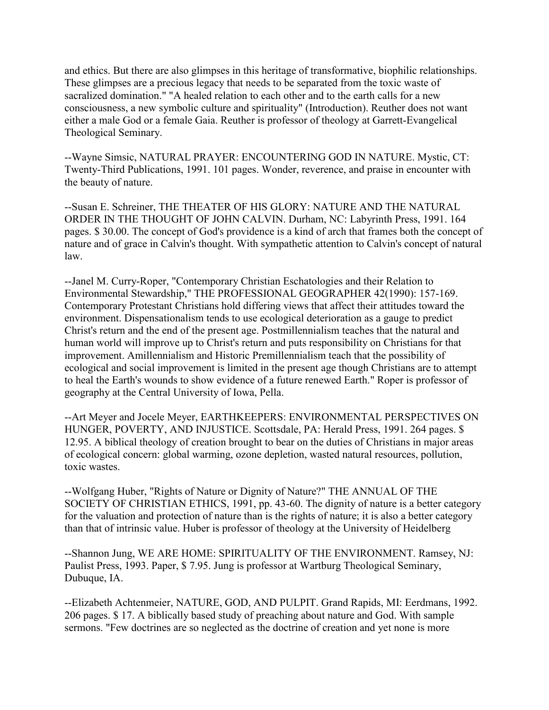and ethics. But there are also glimpses in this heritage of transformative, biophilic relationships. These glimpses are a precious legacy that needs to be separated from the toxic waste of sacralized domination." "A healed relation to each other and to the earth calls for a new consciousness, a new symbolic culture and spirituality" (Introduction). Reuther does not want either a male God or a female Gaia. Reuther is professor of theology at Garrett-Evangelical Theological Seminary.

--Wayne Simsic, NATURAL PRAYER: ENCOUNTERING GOD IN NATURE. Mystic, CT: Twenty-Third Publications, 1991. 101 pages. Wonder, reverence, and praise in encounter with the beauty of nature.

--Susan E. Schreiner, THE THEATER OF HIS GLORY: NATURE AND THE NATURAL ORDER IN THE THOUGHT OF JOHN CALVIN. Durham, NC: Labyrinth Press, 1991. 164 pages. \$ 30.00. The concept of God's providence is a kind of arch that frames both the concept of nature and of grace in Calvin's thought. With sympathetic attention to Calvin's concept of natural law.

--Janel M. Curry-Roper, "Contemporary Christian Eschatologies and their Relation to Environmental Stewardship," THE PROFESSIONAL GEOGRAPHER 42(1990): 157-169. Contemporary Protestant Christians hold differing views that affect their attitudes toward the environment. Dispensationalism tends to use ecological deterioration as a gauge to predict Christ's return and the end of the present age. Postmillennialism teaches that the natural and human world will improve up to Christ's return and puts responsibility on Christians for that improvement. Amillennialism and Historic Premillennialism teach that the possibility of ecological and social improvement is limited in the present age though Christians are to attempt to heal the Earth's wounds to show evidence of a future renewed Earth." Roper is professor of geography at the Central University of Iowa, Pella.

--Art Meyer and Jocele Meyer, EARTHKEEPERS: ENVIRONMENTAL PERSPECTIVES ON HUNGER, POVERTY, AND INJUSTICE. Scottsdale, PA: Herald Press, 1991. 264 pages. \$ 12.95. A biblical theology of creation brought to bear on the duties of Christians in major areas of ecological concern: global warming, ozone depletion, wasted natural resources, pollution, toxic wastes.

--Wolfgang Huber, "Rights of Nature or Dignity of Nature?" THE ANNUAL OF THE SOCIETY OF CHRISTIAN ETHICS, 1991, pp. 43-60. The dignity of nature is a better category for the valuation and protection of nature than is the rights of nature; it is also a better category than that of intrinsic value. Huber is professor of theology at the University of Heidelberg

--Shannon Jung, WE ARE HOME: SPIRITUALITY OF THE ENVIRONMENT. Ramsey, NJ: Paulist Press, 1993. Paper, \$ 7.95. Jung is professor at Wartburg Theological Seminary, Dubuque, IA.

--Elizabeth Achtenmeier, NATURE, GOD, AND PULPIT. Grand Rapids, MI: Eerdmans, 1992. 206 pages. \$ 17. A biblically based study of preaching about nature and God. With sample sermons. "Few doctrines are so neglected as the doctrine of creation and yet none is more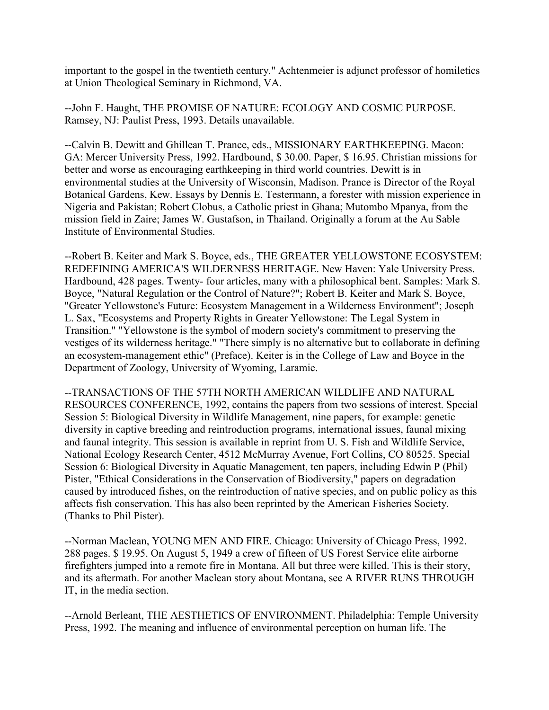important to the gospel in the twentieth century." Achtenmeier is adjunct professor of homiletics at Union Theological Seminary in Richmond, VA.

--John F. Haught, THE PROMISE OF NATURE: ECOLOGY AND COSMIC PURPOSE. Ramsey, NJ: Paulist Press, 1993. Details unavailable.

--Calvin B. Dewitt and Ghillean T. Prance, eds., MISSIONARY EARTHKEEPING. Macon: GA: Mercer University Press, 1992. Hardbound, \$ 30.00. Paper, \$ 16.95. Christian missions for better and worse as encouraging earthkeeping in third world countries. Dewitt is in environmental studies at the University of Wisconsin, Madison. Prance is Director of the Royal Botanical Gardens, Kew. Essays by Dennis E. Testermann, a forester with mission experience in Nigeria and Pakistan; Robert Clobus, a Catholic priest in Ghana; Mutombo Mpanya, from the mission field in Zaire; James W. Gustafson, in Thailand. Originally a forum at the Au Sable Institute of Environmental Studies.

--Robert B. Keiter and Mark S. Boyce, eds., THE GREATER YELLOWSTONE ECOSYSTEM: REDEFINING AMERICA'S WILDERNESS HERITAGE. New Haven: Yale University Press. Hardbound, 428 pages. Twenty- four articles, many with a philosophical bent. Samples: Mark S. Boyce, "Natural Regulation or the Control of Nature?"; Robert B. Keiter and Mark S. Boyce, "Greater Yellowstone's Future: Ecosystem Management in a Wilderness Environment"; Joseph L. Sax, "Ecosystems and Property Rights in Greater Yellowstone: The Legal System in Transition." "Yellowstone is the symbol of modern society's commitment to preserving the vestiges of its wilderness heritage." "There simply is no alternative but to collaborate in defining an ecosystem-management ethic" (Preface). Keiter is in the College of Law and Boyce in the Department of Zoology, University of Wyoming, Laramie.

--TRANSACTIONS OF THE 57TH NORTH AMERICAN WILDLIFE AND NATURAL RESOURCES CONFERENCE, 1992, contains the papers from two sessions of interest. Special Session 5: Biological Diversity in Wildlife Management, nine papers, for example: genetic diversity in captive breeding and reintroduction programs, international issues, faunal mixing and faunal integrity. This session is available in reprint from U. S. Fish and Wildlife Service, National Ecology Research Center, 4512 McMurray Avenue, Fort Collins, CO 80525. Special Session 6: Biological Diversity in Aquatic Management, ten papers, including Edwin P (Phil) Pister, "Ethical Considerations in the Conservation of Biodiversity," papers on degradation caused by introduced fishes, on the reintroduction of native species, and on public policy as this affects fish conservation. This has also been reprinted by the American Fisheries Society. (Thanks to Phil Pister).

--Norman Maclean, YOUNG MEN AND FIRE. Chicago: University of Chicago Press, 1992. 288 pages. \$ 19.95. On August 5, 1949 a crew of fifteen of US Forest Service elite airborne firefighters jumped into a remote fire in Montana. All but three were killed. This is their story, and its aftermath. For another Maclean story about Montana, see A RIVER RUNS THROUGH IT, in the media section.

--Arnold Berleant, THE AESTHETICS OF ENVIRONMENT. Philadelphia: Temple University Press, 1992. The meaning and influence of environmental perception on human life. The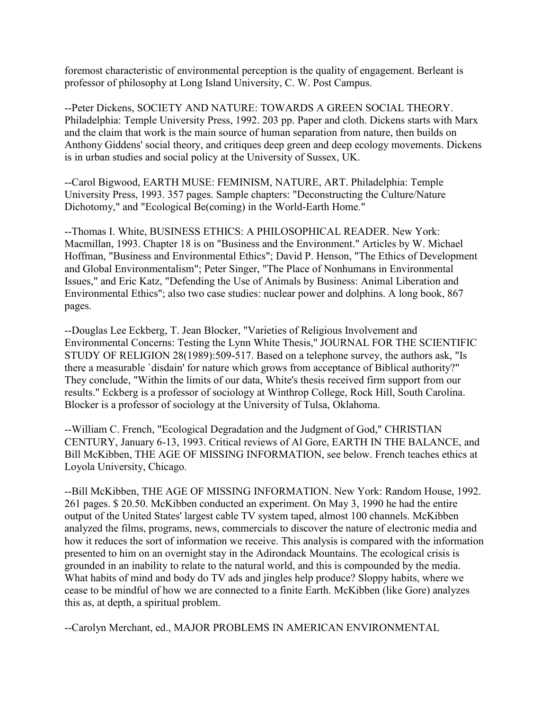foremost characteristic of environmental perception is the quality of engagement. Berleant is professor of philosophy at Long Island University, C. W. Post Campus.

--Peter Dickens, SOCIETY AND NATURE: TOWARDS A GREEN SOCIAL THEORY. Philadelphia: Temple University Press, 1992. 203 pp. Paper and cloth. Dickens starts with Marx and the claim that work is the main source of human separation from nature, then builds on Anthony Giddens' social theory, and critiques deep green and deep ecology movements. Dickens is in urban studies and social policy at the University of Sussex, UK.

--Carol Bigwood, EARTH MUSE: FEMINISM, NATURE, ART. Philadelphia: Temple University Press, 1993. 357 pages. Sample chapters: "Deconstructing the Culture/Nature Dichotomy," and "Ecological Be(coming) in the World-Earth Home."

--Thomas I. White, BUSINESS ETHICS: A PHILOSOPHICAL READER. New York: Macmillan, 1993. Chapter 18 is on "Business and the Environment." Articles by W. Michael Hoffman, "Business and Environmental Ethics"; David P. Henson, "The Ethics of Development and Global Environmentalism"; Peter Singer, "The Place of Nonhumans in Environmental Issues," and Eric Katz, "Defending the Use of Animals by Business: Animal Liberation and Environmental Ethics"; also two case studies: nuclear power and dolphins. A long book, 867 pages.

--Douglas Lee Eckberg, T. Jean Blocker, "Varieties of Religious Involvement and Environmental Concerns: Testing the Lynn White Thesis," JOURNAL FOR THE SCIENTIFIC STUDY OF RELIGION 28(1989):509-517. Based on a telephone survey, the authors ask, "Is there a measurable `disdain' for nature which grows from acceptance of Biblical authority?" They conclude, "Within the limits of our data, White's thesis received firm support from our results." Eckberg is a professor of sociology at Winthrop College, Rock Hill, South Carolina. Blocker is a professor of sociology at the University of Tulsa, Oklahoma.

--William C. French, "Ecological Degradation and the Judgment of God," CHRISTIAN CENTURY, January 6-13, 1993. Critical reviews of Al Gore, EARTH IN THE BALANCE, and Bill McKibben, THE AGE OF MISSING INFORMATION, see below. French teaches ethics at Loyola University, Chicago.

--Bill McKibben, THE AGE OF MISSING INFORMATION. New York: Random House, 1992. 261 pages. \$ 20.50. McKibben conducted an experiment. On May 3, 1990 he had the entire output of the United States' largest cable TV system taped, almost 100 channels. McKibben analyzed the films, programs, news, commercials to discover the nature of electronic media and how it reduces the sort of information we receive. This analysis is compared with the information presented to him on an overnight stay in the Adirondack Mountains. The ecological crisis is grounded in an inability to relate to the natural world, and this is compounded by the media. What habits of mind and body do TV ads and jingles help produce? Sloppy habits, where we cease to be mindful of how we are connected to a finite Earth. McKibben (like Gore) analyzes this as, at depth, a spiritual problem.

--Carolyn Merchant, ed., MAJOR PROBLEMS IN AMERICAN ENVIRONMENTAL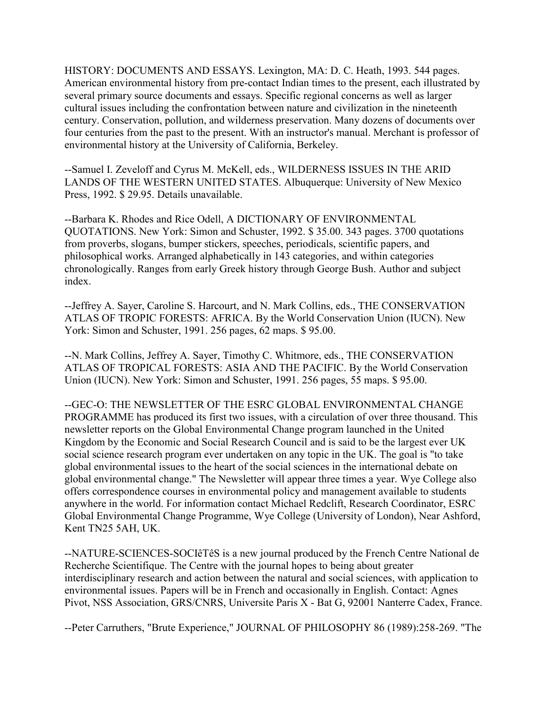HISTORY: DOCUMENTS AND ESSAYS. Lexington, MA: D. C. Heath, 1993. 544 pages. American environmental history from pre-contact Indian times to the present, each illustrated by several primary source documents and essays. Specific regional concerns as well as larger cultural issues including the confrontation between nature and civilization in the nineteenth century. Conservation, pollution, and wilderness preservation. Many dozens of documents over four centuries from the past to the present. With an instructor's manual. Merchant is professor of environmental history at the University of California, Berkeley.

--Samuel I. Zeveloff and Cyrus M. McKell, eds., WILDERNESS ISSUES IN THE ARID LANDS OF THE WESTERN UNITED STATES. Albuquerque: University of New Mexico Press, 1992. \$ 29.95. Details unavailable.

--Barbara K. Rhodes and Rice Odell, A DICTIONARY OF ENVIRONMENTAL QUOTATIONS. New York: Simon and Schuster, 1992. \$ 35.00. 343 pages. 3700 quotations from proverbs, slogans, bumper stickers, speeches, periodicals, scientific papers, and philosophical works. Arranged alphabetically in 143 categories, and within categories chronologically. Ranges from early Greek history through George Bush. Author and subject index.

--Jeffrey A. Sayer, Caroline S. Harcourt, and N. Mark Collins, eds., THE CONSERVATION ATLAS OF TROPIC FORESTS: AFRICA. By the World Conservation Union (IUCN). New York: Simon and Schuster, 1991. 256 pages, 62 maps. \$ 95.00.

--N. Mark Collins, Jeffrey A. Sayer, Timothy C. Whitmore, eds., THE CONSERVATION ATLAS OF TROPICAL FORESTS: ASIA AND THE PACIFIC. By the World Conservation Union (IUCN). New York: Simon and Schuster, 1991. 256 pages, 55 maps. \$ 95.00.

--GEC-O: THE NEWSLETTER OF THE ESRC GLOBAL ENVIRONMENTAL CHANGE PROGRAMME has produced its first two issues, with a circulation of over three thousand. This newsletter reports on the Global Environmental Change program launched in the United Kingdom by the Economic and Social Research Council and is said to be the largest ever UK social science research program ever undertaken on any topic in the UK. The goal is "to take global environmental issues to the heart of the social sciences in the international debate on global environmental change." The Newsletter will appear three times a year. Wye College also offers correspondence courses in environmental policy and management available to students anywhere in the world. For information contact Michael Redclift, Research Coordinator, ESRC Global Environmental Change Programme, Wye College (University of London), Near Ashford, Kent TN25 5AH, UK.

--NATURE-SCIENCES-SOCIêTêS is a new journal produced by the French Centre National de Recherche Scientifique. The Centre with the journal hopes to being about greater interdisciplinary research and action between the natural and social sciences, with application to environmental issues. Papers will be in French and occasionally in English. Contact: Agnes Pivot, NSS Association, GRS/CNRS, Universite Paris X - Bat G, 92001 Nanterre Cadex, France.

--Peter Carruthers, "Brute Experience," JOURNAL OF PHILOSOPHY 86 (1989):258-269. "The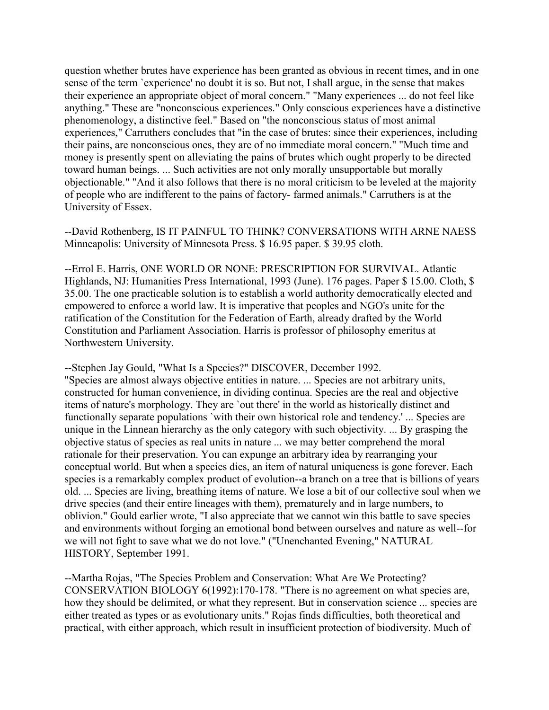question whether brutes have experience has been granted as obvious in recent times, and in one sense of the term `experience' no doubt it is so. But not, I shall argue, in the sense that makes their experience an appropriate object of moral concern." "Many experiences ... do not feel like anything." These are "nonconscious experiences." Only conscious experiences have a distinctive phenomenology, a distinctive feel." Based on "the nonconscious status of most animal experiences," Carruthers concludes that "in the case of brutes: since their experiences, including their pains, are nonconscious ones, they are of no immediate moral concern." "Much time and money is presently spent on alleviating the pains of brutes which ought properly to be directed toward human beings. ... Such activities are not only morally unsupportable but morally objectionable." "And it also follows that there is no moral criticism to be leveled at the majority of people who are indifferent to the pains of factory- farmed animals." Carruthers is at the University of Essex.

--David Rothenberg, IS IT PAINFUL TO THINK? CONVERSATIONS WITH ARNE NAESS Minneapolis: University of Minnesota Press. \$ 16.95 paper. \$ 39.95 cloth.

--Errol E. Harris, ONE WORLD OR NONE: PRESCRIPTION FOR SURVIVAL. Atlantic Highlands, NJ: Humanities Press International, 1993 (June). 176 pages. Paper \$ 15.00. Cloth, \$ 35.00. The one practicable solution is to establish a world authority democratically elected and empowered to enforce a world law. It is imperative that peoples and NGO's unite for the ratification of the Constitution for the Federation of Earth, already drafted by the World Constitution and Parliament Association. Harris is professor of philosophy emeritus at Northwestern University.

--Stephen Jay Gould, "What Is a Species?" DISCOVER, December 1992. "Species are almost always objective entities in nature. ... Species are not arbitrary units, constructed for human convenience, in dividing continua. Species are the real and objective items of nature's morphology. They are `out there' in the world as historically distinct and functionally separate populations `with their own historical role and tendency.' ... Species are unique in the Linnean hierarchy as the only category with such objectivity. ... By grasping the objective status of species as real units in nature ... we may better comprehend the moral rationale for their preservation. You can expunge an arbitrary idea by rearranging your conceptual world. But when a species dies, an item of natural uniqueness is gone forever. Each species is a remarkably complex product of evolution--a branch on a tree that is billions of years old. ... Species are living, breathing items of nature. We lose a bit of our collective soul when we drive species (and their entire lineages with them), prematurely and in large numbers, to oblivion." Gould earlier wrote, "I also appreciate that we cannot win this battle to save species and environments without forging an emotional bond between ourselves and nature as well--for we will not fight to save what we do not love." ("Unenchanted Evening," NATURAL HISTORY, September 1991.

--Martha Rojas, "The Species Problem and Conservation: What Are We Protecting? CONSERVATION BIOLOGY 6(1992):170-178. "There is no agreement on what species are, how they should be delimited, or what they represent. But in conservation science ... species are either treated as types or as evolutionary units." Rojas finds difficulties, both theoretical and practical, with either approach, which result in insufficient protection of biodiversity. Much of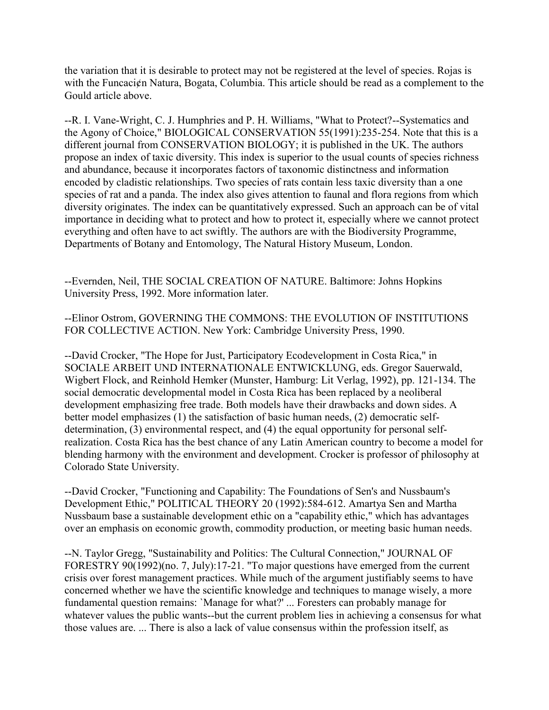the variation that it is desirable to protect may not be registered at the level of species. Rojas is with the Funcaci¢n Natura, Bogata, Columbia. This article should be read as a complement to the Gould article above.

--R. I. Vane-Wright, C. J. Humphries and P. H. Williams, "What to Protect?--Systematics and the Agony of Choice," BIOLOGICAL CONSERVATION 55(1991):235-254. Note that this is a different journal from CONSERVATION BIOLOGY; it is published in the UK. The authors propose an index of taxic diversity. This index is superior to the usual counts of species richness and abundance, because it incorporates factors of taxonomic distinctness and information encoded by cladistic relationships. Two species of rats contain less taxic diversity than a one species of rat and a panda. The index also gives attention to faunal and flora regions from which diversity originates. The index can be quantitatively expressed. Such an approach can be of vital importance in deciding what to protect and how to protect it, especially where we cannot protect everything and often have to act swiftly. The authors are with the Biodiversity Programme, Departments of Botany and Entomology, The Natural History Museum, London.

--Evernden, Neil, THE SOCIAL CREATION OF NATURE. Baltimore: Johns Hopkins University Press, 1992. More information later.

--Elinor Ostrom, GOVERNING THE COMMONS: THE EVOLUTION OF INSTITUTIONS FOR COLLECTIVE ACTION. New York: Cambridge University Press, 1990.

--David Crocker, "The Hope for Just, Participatory Ecodevelopment in Costa Rica," in SOCIALE ARBEIT UND INTERNATIONALE ENTWICKLUNG, eds. Gregor Sauerwald, Wigbert Flock, and Reinhold Hemker (Munster, Hamburg: Lit Verlag, 1992), pp. 121-134. The social democratic developmental model in Costa Rica has been replaced by a neoliberal development emphasizing free trade. Both models have their drawbacks and down sides. A better model emphasizes (1) the satisfaction of basic human needs, (2) democratic selfdetermination, (3) environmental respect, and (4) the equal opportunity for personal selfrealization. Costa Rica has the best chance of any Latin American country to become a model for blending harmony with the environment and development. Crocker is professor of philosophy at Colorado State University.

--David Crocker, "Functioning and Capability: The Foundations of Sen's and Nussbaum's Development Ethic," POLITICAL THEORY 20 (1992):584-612. Amartya Sen and Martha Nussbaum base a sustainable development ethic on a "capability ethic," which has advantages over an emphasis on economic growth, commodity production, or meeting basic human needs.

--N. Taylor Gregg, "Sustainability and Politics: The Cultural Connection," JOURNAL OF FORESTRY 90(1992)(no. 7, July):17-21. "To major questions have emerged from the current crisis over forest management practices. While much of the argument justifiably seems to have concerned whether we have the scientific knowledge and techniques to manage wisely, a more fundamental question remains: `Manage for what?' ... Foresters can probably manage for whatever values the public wants--but the current problem lies in achieving a consensus for what those values are. ... There is also a lack of value consensus within the profession itself, as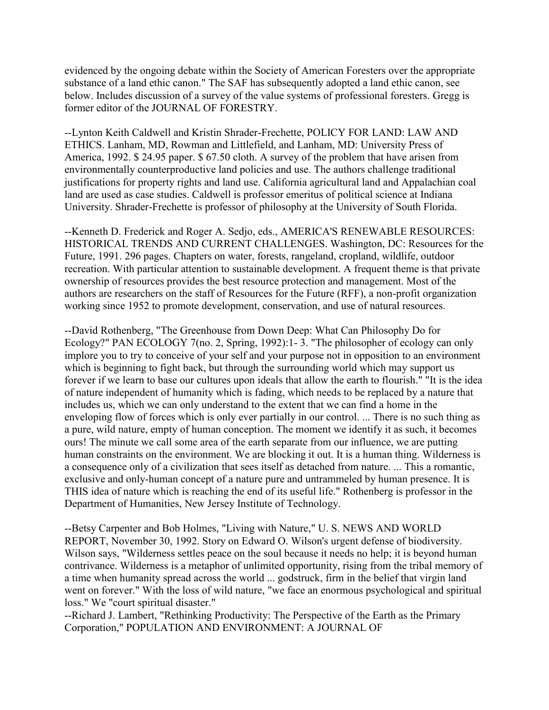evidenced by the ongoing debate within the Society of American Foresters over the appropriate substance of a land ethic canon." The SAF has subsequently adopted a land ethic canon, see below. Includes discussion of a survey of the value systems of professional foresters. Gregg is former editor of the JOURNAL OF FORESTRY.

--Lynton Keith Caldwell and Kristin Shrader-Frechette, POLICY FOR LAND: LAW AND ETHICS. Lanham, MD, Rowman and Littlefield, and Lanham, MD: University Press of America, 1992. \$ 24.95 paper. \$ 67.50 cloth. A survey of the problem that have arisen from environmentally counterproductive land policies and use. The authors challenge traditional justifications for property rights and land use. California agricultural land and Appalachian coal land are used as case studies. Caldwell is professor emeritus of political science at Indiana University. Shrader-Frechette is professor of philosophy at the University of South Florida.

--Kenneth D. Frederick and Roger A. Sedjo, eds., AMERICA'S RENEWABLE RESOURCES: HISTORICAL TRENDS AND CURRENT CHALLENGES. Washington, DC: Resources for the Future, 1991. 296 pages. Chapters on water, forests, rangeland, cropland, wildlife, outdoor recreation. With particular attention to sustainable development. A frequent theme is that private ownership of resources provides the best resource protection and management. Most of the authors are researchers on the staff of Resources for the Future (RFF), a non-profit organization working since 1952 to promote development, conservation, and use of natural resources.

--David Rothenberg, "The Greenhouse from Down Deep: What Can Philosophy Do for Ecology?" PAN ECOLOGY 7(no. 2, Spring, 1992):1-3. "The philosopher of ecology can only implore you to try to conceive of your self and your purpose not in opposition to an environment which is beginning to fight back, but through the surrounding world which may support us forever if we learn to base our cultures upon ideals that allow the earth to flourish." "It is the idea of nature independent of humanity which is fading, which needs to be replaced by a nature that includes us, which we can only understand to the extent that we can find a home in the enveloping flow of forces which is only ever partially in our control. ... There is no such thing as a pure, wild nature, empty of human conception. The moment we identify it as such, it becomes ours! The minute we call some area of the earth separate from our influence, we are putting human constraints on the environment. We are blocking it out. It is a human thing. Wilderness is a consequence only of a civilization that sees itself as detached from nature. ... This a romantic, exclusive and only-human concept of a nature pure and untrammeled by human presence. It is THIS idea of nature which is reaching the end of its useful life." Rothenberg is professor in the Department of Humanities, New Jersey Institute of Technology.

--Betsy Carpenter and Bob Holmes, "Living with Nature," U. S. NEWS AND WORLD REPORT, November 30, 1992. Story on Edward O. Wilson's urgent defense of biodiversity. Wilson says, "Wilderness settles peace on the soul because it needs no help; it is beyond human contrivance. Wilderness is a metaphor of unlimited opportunity, rising from the tribal memory of a time when humanity spread across the world ... godstruck, firm in the belief that virgin land went on forever." With the loss of wild nature, "we face an enormous psychological and spiritual loss." We "court spiritual disaster."

--Richard J. Lambert, "Rethinking Productivity: The Perspective of the Earth as the Primary Corporation," POPULATION AND ENVIRONMENT: A JOURNAL OF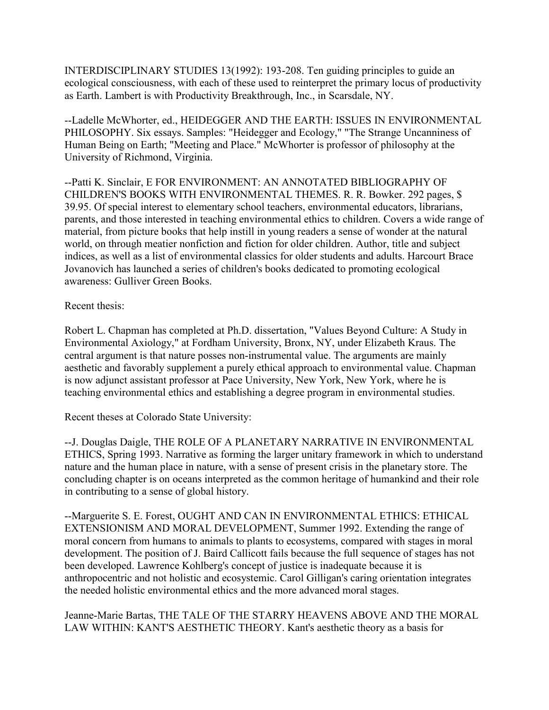INTERDISCIPLINARY STUDIES 13(1992): 193-208. Ten guiding principles to guide an ecological consciousness, with each of these used to reinterpret the primary locus of productivity as Earth. Lambert is with Productivity Breakthrough, Inc., in Scarsdale, NY.

--Ladelle McWhorter, ed., HEIDEGGER AND THE EARTH: ISSUES IN ENVIRONMENTAL PHILOSOPHY. Six essays. Samples: "Heidegger and Ecology," "The Strange Uncanniness of Human Being on Earth; "Meeting and Place." McWhorter is professor of philosophy at the University of Richmond, Virginia.

--Patti K. Sinclair, E FOR ENVIRONMENT: AN ANNOTATED BIBLIOGRAPHY OF CHILDREN'S BOOKS WITH ENVIRONMENTAL THEMES. R. R. Bowker. 292 pages, \$ 39.95. Of special interest to elementary school teachers, environmental educators, librarians, parents, and those interested in teaching environmental ethics to children. Covers a wide range of material, from picture books that help instill in young readers a sense of wonder at the natural world, on through meatier nonfiction and fiction for older children. Author, title and subject indices, as well as a list of environmental classics for older students and adults. Harcourt Brace Jovanovich has launched a series of children's books dedicated to promoting ecological awareness: Gulliver Green Books.

Recent thesis:

Robert L. Chapman has completed at Ph.D. dissertation, "Values Beyond Culture: A Study in Environmental Axiology," at Fordham University, Bronx, NY, under Elizabeth Kraus. The central argument is that nature posses non-instrumental value. The arguments are mainly aesthetic and favorably supplement a purely ethical approach to environmental value. Chapman is now adjunct assistant professor at Pace University, New York, New York, where he is teaching environmental ethics and establishing a degree program in environmental studies.

Recent theses at Colorado State University:

--J. Douglas Daigle, THE ROLE OF A PLANETARY NARRATIVE IN ENVIRONMENTAL ETHICS, Spring 1993. Narrative as forming the larger unitary framework in which to understand nature and the human place in nature, with a sense of present crisis in the planetary store. The concluding chapter is on oceans interpreted as the common heritage of humankind and their role in contributing to a sense of global history.

--Marguerite S. E. Forest, OUGHT AND CAN IN ENVIRONMENTAL ETHICS: ETHICAL EXTENSIONISM AND MORAL DEVELOPMENT, Summer 1992. Extending the range of moral concern from humans to animals to plants to ecosystems, compared with stages in moral development. The position of J. Baird Callicott fails because the full sequence of stages has not been developed. Lawrence Kohlberg's concept of justice is inadequate because it is anthropocentric and not holistic and ecosystemic. Carol Gilligan's caring orientation integrates the needed holistic environmental ethics and the more advanced moral stages.

Jeanne-Marie Bartas, THE TALE OF THE STARRY HEAVENS ABOVE AND THE MORAL LAW WITHIN: KANT'S AESTHETIC THEORY. Kant's aesthetic theory as a basis for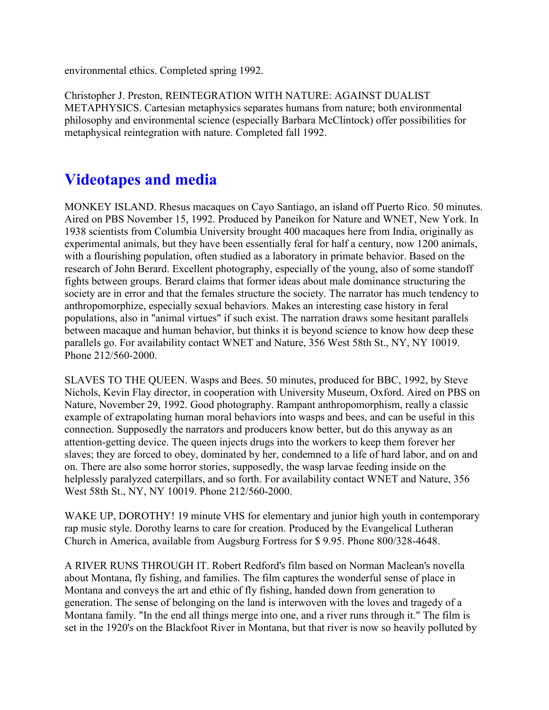environmental ethics. Completed spring 1992.

Christopher J. Preston, REINTEGRATION WITH NATURE: AGAINST DUALIST METAPHYSICS. Cartesian metaphysics separates humans from nature; both environmental philosophy and environmental science (especially Barbara McClintock) offer possibilities for metaphysical reintegration with nature. Completed fall 1992.

### **Videotapes and media**

MONKEY ISLAND. Rhesus macaques on Cayo Santiago, an island off Puerto Rico. 50 minutes. Aired on PBS November 15, 1992. Produced by Paneikon for Nature and WNET, New York. In 1938 scientists from Columbia University brought 400 macaques here from India, originally as experimental animals, but they have been essentially feral for half a century, now 1200 animals, with a flourishing population, often studied as a laboratory in primate behavior. Based on the research of John Berard. Excellent photography, especially of the young, also of some standoff fights between groups. Berard claims that former ideas about male dominance structuring the society are in error and that the females structure the society. The narrator has much tendency to anthropomorphize, especially sexual behaviors. Makes an interesting case history in feral populations, also in "animal virtues" if such exist. The narration draws some hesitant parallels between macaque and human behavior, but thinks it is beyond science to know how deep these parallels go. For availability contact WNET and Nature, 356 West 58th St., NY, NY 10019. Phone 212/560-2000.

SLAVES TO THE QUEEN. Wasps and Bees. 50 minutes, produced for BBC, 1992, by Steve Nichols, Kevin Flay director, in cooperation with University Museum, Oxford. Aired on PBS on Nature, November 29, 1992. Good photography. Rampant anthropomorphism, really a classic example of extrapolating human moral behaviors into wasps and bees, and can be useful in this connection. Supposedly the narrators and producers know better, but do this anyway as an attention-getting device. The queen injects drugs into the workers to keep them forever her slaves; they are forced to obey, dominated by her, condemned to a life of hard labor, and on and on. There are also some horror stories, supposedly, the wasp larvae feeding inside on the helplessly paralyzed caterpillars, and so forth. For availability contact WNET and Nature, 356 West 58th St., NY, NY 10019. Phone 212/560-2000.

WAKE UP, DOROTHY! 19 minute VHS for elementary and junior high youth in contemporary rap music style. Dorothy learns to care for creation. Produced by the Evangelical Lutheran Church in America, available from Augsburg Fortress for \$ 9.95. Phone 800/328-4648.

A RIVER RUNS THROUGH IT. Robert Redford's film based on Norman Maclean's novella about Montana, fly fishing, and families. The film captures the wonderful sense of place in Montana and conveys the art and ethic of fly fishing, handed down from generation to generation. The sense of belonging on the land is interwoven with the loves and tragedy of a Montana family. "In the end all things merge into one, and a river runs through it." The film is set in the 1920's on the Blackfoot River in Montana, but that river is now so heavily polluted by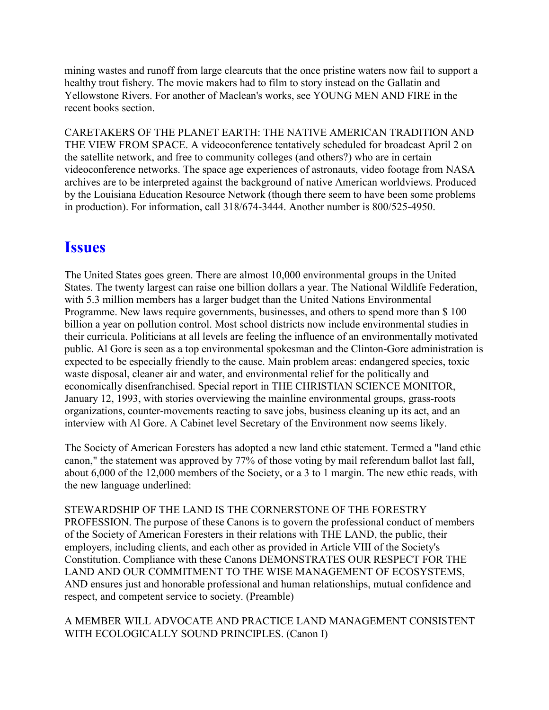mining wastes and runoff from large clearcuts that the once pristine waters now fail to support a healthy trout fishery. The movie makers had to film to story instead on the Gallatin and Yellowstone Rivers. For another of Maclean's works, see YOUNG MEN AND FIRE in the recent books section.

CARETAKERS OF THE PLANET EARTH: THE NATIVE AMERICAN TRADITION AND THE VIEW FROM SPACE. A videoconference tentatively scheduled for broadcast April 2 on the satellite network, and free to community colleges (and others?) who are in certain videoconference networks. The space age experiences of astronauts, video footage from NASA archives are to be interpreted against the background of native American worldviews. Produced by the Louisiana Education Resource Network (though there seem to have been some problems in production). For information, call 318/674-3444. Another number is 800/525-4950.

### **Issues**

The United States goes green. There are almost 10,000 environmental groups in the United States. The twenty largest can raise one billion dollars a year. The National Wildlife Federation, with 5.3 million members has a larger budget than the United Nations Environmental Programme. New laws require governments, businesses, and others to spend more than \$ 100 billion a year on pollution control. Most school districts now include environmental studies in their curricula. Politicians at all levels are feeling the influence of an environmentally motivated public. Al Gore is seen as a top environmental spokesman and the Clinton-Gore administration is expected to be especially friendly to the cause. Main problem areas: endangered species, toxic waste disposal, cleaner air and water, and environmental relief for the politically and economically disenfranchised. Special report in THE CHRISTIAN SCIENCE MONITOR, January 12, 1993, with stories overviewing the mainline environmental groups, grass-roots organizations, counter-movements reacting to save jobs, business cleaning up its act, and an interview with Al Gore. A Cabinet level Secretary of the Environment now seems likely.

The Society of American Foresters has adopted a new land ethic statement. Termed a "land ethic canon," the statement was approved by 77% of those voting by mail referendum ballot last fall, about 6,000 of the 12,000 members of the Society, or a 3 to 1 margin. The new ethic reads, with the new language underlined:

STEWARDSHIP OF THE LAND IS THE CORNERSTONE OF THE FORESTRY PROFESSION. The purpose of these Canons is to govern the professional conduct of members of the Society of American Foresters in their relations with THE LAND, the public, their employers, including clients, and each other as provided in Article VIII of the Society's Constitution. Compliance with these Canons DEMONSTRATES OUR RESPECT FOR THE LAND AND OUR COMMITMENT TO THE WISE MANAGEMENT OF ECOSYSTEMS, AND ensures just and honorable professional and human relationships, mutual confidence and respect, and competent service to society. (Preamble)

A MEMBER WILL ADVOCATE AND PRACTICE LAND MANAGEMENT CONSISTENT WITH ECOLOGICALLY SOUND PRINCIPLES. (Canon I)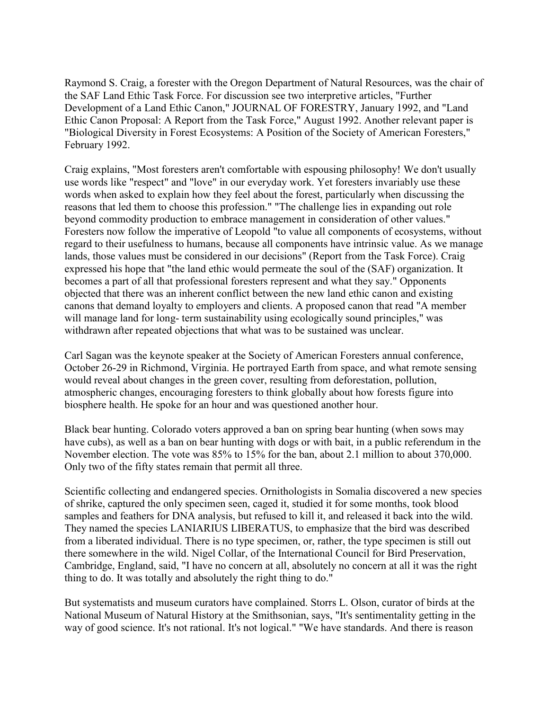Raymond S. Craig, a forester with the Oregon Department of Natural Resources, was the chair of the SAF Land Ethic Task Force. For discussion see two interpretive articles, "Further Development of a Land Ethic Canon," JOURNAL OF FORESTRY, January 1992, and "Land Ethic Canon Proposal: A Report from the Task Force," August 1992. Another relevant paper is "Biological Diversity in Forest Ecosystems: A Position of the Society of American Foresters," February 1992.

Craig explains, "Most foresters aren't comfortable with espousing philosophy! We don't usually use words like "respect" and "love" in our everyday work. Yet foresters invariably use these words when asked to explain how they feel about the forest, particularly when discussing the reasons that led them to choose this profession." "The challenge lies in expanding out role beyond commodity production to embrace management in consideration of other values." Foresters now follow the imperative of Leopold "to value all components of ecosystems, without regard to their usefulness to humans, because all components have intrinsic value. As we manage lands, those values must be considered in our decisions" (Report from the Task Force). Craig expressed his hope that "the land ethic would permeate the soul of the (SAF) organization. It becomes a part of all that professional foresters represent and what they say." Opponents objected that there was an inherent conflict between the new land ethic canon and existing canons that demand loyalty to employers and clients. A proposed canon that read "A member will manage land for long- term sustainability using ecologically sound principles," was withdrawn after repeated objections that what was to be sustained was unclear.

Carl Sagan was the keynote speaker at the Society of American Foresters annual conference, October 26-29 in Richmond, Virginia. He portrayed Earth from space, and what remote sensing would reveal about changes in the green cover, resulting from deforestation, pollution, atmospheric changes, encouraging foresters to think globally about how forests figure into biosphere health. He spoke for an hour and was questioned another hour.

Black bear hunting. Colorado voters approved a ban on spring bear hunting (when sows may have cubs), as well as a ban on bear hunting with dogs or with bait, in a public referendum in the November election. The vote was 85% to 15% for the ban, about 2.1 million to about 370,000. Only two of the fifty states remain that permit all three.

Scientific collecting and endangered species. Ornithologists in Somalia discovered a new species of shrike, captured the only specimen seen, caged it, studied it for some months, took blood samples and feathers for DNA analysis, but refused to kill it, and released it back into the wild. They named the species LANIARIUS LIBERATUS, to emphasize that the bird was described from a liberated individual. There is no type specimen, or, rather, the type specimen is still out there somewhere in the wild. Nigel Collar, of the International Council for Bird Preservation, Cambridge, England, said, "I have no concern at all, absolutely no concern at all it was the right thing to do. It was totally and absolutely the right thing to do."

But systematists and museum curators have complained. Storrs L. Olson, curator of birds at the National Museum of Natural History at the Smithsonian, says, "It's sentimentality getting in the way of good science. It's not rational. It's not logical." "We have standards. And there is reason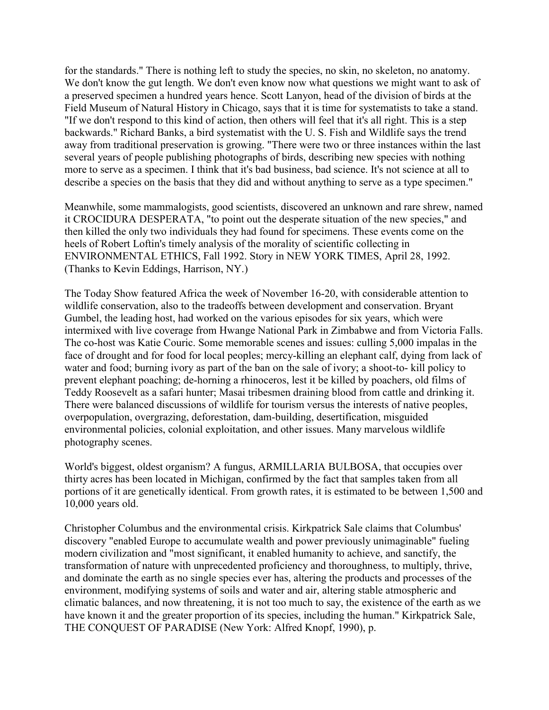for the standards." There is nothing left to study the species, no skin, no skeleton, no anatomy. We don't know the gut length. We don't even know now what questions we might want to ask of a preserved specimen a hundred years hence. Scott Lanyon, head of the division of birds at the Field Museum of Natural History in Chicago, says that it is time for systematists to take a stand. "If we don't respond to this kind of action, then others will feel that it's all right. This is a step backwards." Richard Banks, a bird systematist with the U. S. Fish and Wildlife says the trend away from traditional preservation is growing. "There were two or three instances within the last several years of people publishing photographs of birds, describing new species with nothing more to serve as a specimen. I think that it's bad business, bad science. It's not science at all to describe a species on the basis that they did and without anything to serve as a type specimen."

Meanwhile, some mammalogists, good scientists, discovered an unknown and rare shrew, named it CROCIDURA DESPERATA, "to point out the desperate situation of the new species," and then killed the only two individuals they had found for specimens. These events come on the heels of Robert Loftin's timely analysis of the morality of scientific collecting in ENVIRONMENTAL ETHICS, Fall 1992. Story in NEW YORK TIMES, April 28, 1992. (Thanks to Kevin Eddings, Harrison, NY.)

The Today Show featured Africa the week of November 16-20, with considerable attention to wildlife conservation, also to the tradeoffs between development and conservation. Bryant Gumbel, the leading host, had worked on the various episodes for six years, which were intermixed with live coverage from Hwange National Park in Zimbabwe and from Victoria Falls. The co-host was Katie Couric. Some memorable scenes and issues: culling 5,000 impalas in the face of drought and for food for local peoples; mercy-killing an elephant calf, dying from lack of water and food; burning ivory as part of the ban on the sale of ivory; a shoot-to- kill policy to prevent elephant poaching; de-horning a rhinoceros, lest it be killed by poachers, old films of Teddy Roosevelt as a safari hunter; Masai tribesmen draining blood from cattle and drinking it. There were balanced discussions of wildlife for tourism versus the interests of native peoples, overpopulation, overgrazing, deforestation, dam-building, desertification, misguided environmental policies, colonial exploitation, and other issues. Many marvelous wildlife photography scenes.

World's biggest, oldest organism? A fungus, ARMILLARIA BULBOSA, that occupies over thirty acres has been located in Michigan, confirmed by the fact that samples taken from all portions of it are genetically identical. From growth rates, it is estimated to be between 1,500 and 10,000 years old.

Christopher Columbus and the environmental crisis. Kirkpatrick Sale claims that Columbus' discovery "enabled Europe to accumulate wealth and power previously unimaginable" fueling modern civilization and "most significant, it enabled humanity to achieve, and sanctify, the transformation of nature with unprecedented proficiency and thoroughness, to multiply, thrive, and dominate the earth as no single species ever has, altering the products and processes of the environment, modifying systems of soils and water and air, altering stable atmospheric and climatic balances, and now threatening, it is not too much to say, the existence of the earth as we have known it and the greater proportion of its species, including the human." Kirkpatrick Sale, THE CONQUEST OF PARADISE (New York: Alfred Knopf, 1990), p.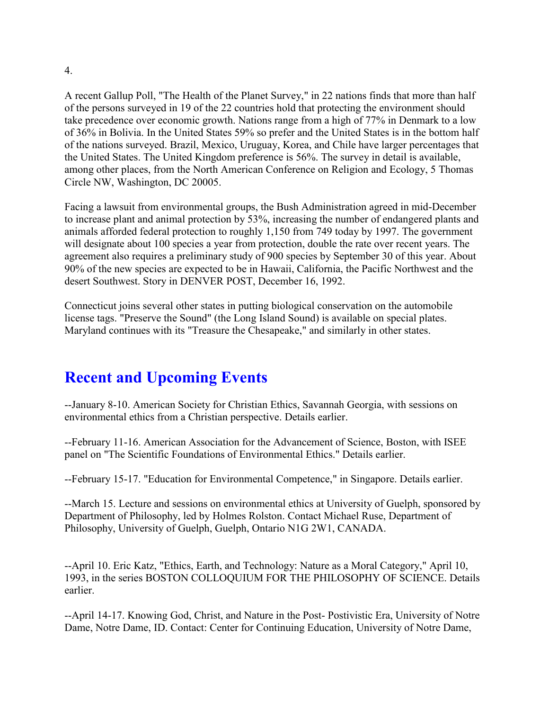A recent Gallup Poll, "The Health of the Planet Survey," in 22 nations finds that more than half of the persons surveyed in 19 of the 22 countries hold that protecting the environment should take precedence over economic growth. Nations range from a high of 77% in Denmark to a low of 36% in Bolivia. In the United States 59% so prefer and the United States is in the bottom half of the nations surveyed. Brazil, Mexico, Uruguay, Korea, and Chile have larger percentages that the United States. The United Kingdom preference is 56%. The survey in detail is available, among other places, from the North American Conference on Religion and Ecology, 5 Thomas Circle NW, Washington, DC 20005.

Facing a lawsuit from environmental groups, the Bush Administration agreed in mid-December to increase plant and animal protection by 53%, increasing the number of endangered plants and animals afforded federal protection to roughly 1,150 from 749 today by 1997. The government will designate about 100 species a year from protection, double the rate over recent years. The agreement also requires a preliminary study of 900 species by September 30 of this year. About 90% of the new species are expected to be in Hawaii, California, the Pacific Northwest and the desert Southwest. Story in DENVER POST, December 16, 1992.

Connecticut joins several other states in putting biological conservation on the automobile license tags. "Preserve the Sound" (the Long Island Sound) is available on special plates. Maryland continues with its "Treasure the Chesapeake," and similarly in other states.

# **Recent and Upcoming Events**

--January 8-10. American Society for Christian Ethics, Savannah Georgia, with sessions on environmental ethics from a Christian perspective. Details earlier.

--February 11-16. American Association for the Advancement of Science, Boston, with ISEE panel on "The Scientific Foundations of Environmental Ethics." Details earlier.

--February 15-17. "Education for Environmental Competence," in Singapore. Details earlier.

--March 15. Lecture and sessions on environmental ethics at University of Guelph, sponsored by Department of Philosophy, led by Holmes Rolston. Contact Michael Ruse, Department of Philosophy, University of Guelph, Guelph, Ontario N1G 2W1, CANADA.

--April 10. Eric Katz, "Ethics, Earth, and Technology: Nature as a Moral Category," April 10, 1993, in the series BOSTON COLLOQUIUM FOR THE PHILOSOPHY OF SCIENCE. Details earlier.

--April 14-17. Knowing God, Christ, and Nature in the Post- Postivistic Era, University of Notre Dame, Notre Dame, ID. Contact: Center for Continuing Education, University of Notre Dame,

4.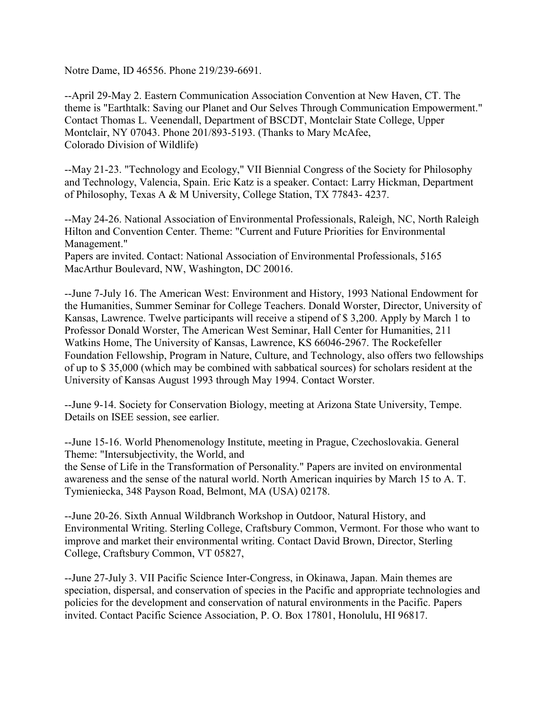Notre Dame, ID 46556. Phone 219/239-6691.

--April 29-May 2. Eastern Communication Association Convention at New Haven, CT. The theme is "Earthtalk: Saving our Planet and Our Selves Through Communication Empowerment." Contact Thomas L. Veenendall, Department of BSCDT, Montclair State College, Upper Montclair, NY 07043. Phone 201/893-5193. (Thanks to Mary McAfee, Colorado Division of Wildlife)

--May 21-23. "Technology and Ecology," VII Biennial Congress of the Society for Philosophy and Technology, Valencia, Spain. Eric Katz is a speaker. Contact: Larry Hickman, Department of Philosophy, Texas A & M University, College Station, TX 77843- 4237.

--May 24-26. National Association of Environmental Professionals, Raleigh, NC, North Raleigh Hilton and Convention Center. Theme: "Current and Future Priorities for Environmental Management."

Papers are invited. Contact: National Association of Environmental Professionals, 5165 MacArthur Boulevard, NW, Washington, DC 20016.

--June 7-July 16. The American West: Environment and History, 1993 National Endowment for the Humanities, Summer Seminar for College Teachers. Donald Worster, Director, University of Kansas, Lawrence. Twelve participants will receive a stipend of \$ 3,200. Apply by March 1 to Professor Donald Worster, The American West Seminar, Hall Center for Humanities, 211 Watkins Home, The University of Kansas, Lawrence, KS 66046-2967. The Rockefeller Foundation Fellowship, Program in Nature, Culture, and Technology, also offers two fellowships of up to \$ 35,000 (which may be combined with sabbatical sources) for scholars resident at the University of Kansas August 1993 through May 1994. Contact Worster.

--June 9-14. Society for Conservation Biology, meeting at Arizona State University, Tempe. Details on ISEE session, see earlier.

--June 15-16. World Phenomenology Institute, meeting in Prague, Czechoslovakia. General Theme: "Intersubjectivity, the World, and

the Sense of Life in the Transformation of Personality." Papers are invited on environmental awareness and the sense of the natural world. North American inquiries by March 15 to A. T. Tymieniecka, 348 Payson Road, Belmont, MA (USA) 02178.

--June 20-26. Sixth Annual Wildbranch Workshop in Outdoor, Natural History, and Environmental Writing. Sterling College, Craftsbury Common, Vermont. For those who want to improve and market their environmental writing. Contact David Brown, Director, Sterling College, Craftsbury Common, VT 05827,

--June 27-July 3. VII Pacific Science Inter-Congress, in Okinawa, Japan. Main themes are speciation, dispersal, and conservation of species in the Pacific and appropriate technologies and policies for the development and conservation of natural environments in the Pacific. Papers invited. Contact Pacific Science Association, P. O. Box 17801, Honolulu, HI 96817.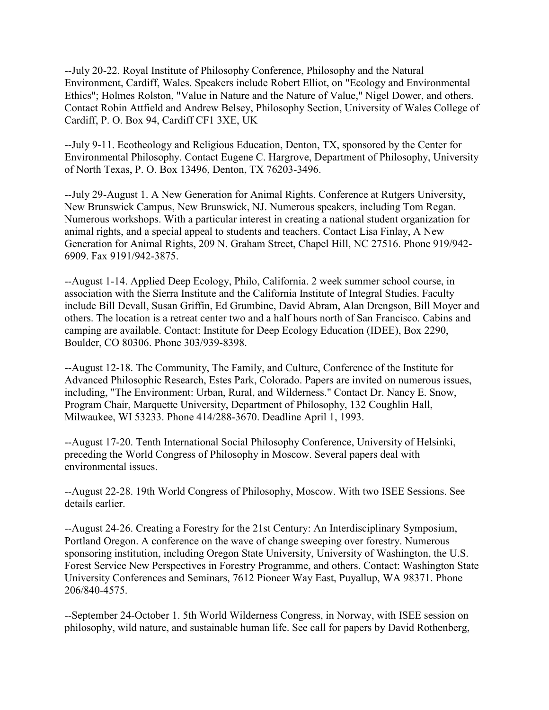--July 20-22. Royal Institute of Philosophy Conference, Philosophy and the Natural Environment, Cardiff, Wales. Speakers include Robert Elliot, on "Ecology and Environmental Ethics"; Holmes Rolston, "Value in Nature and the Nature of Value," Nigel Dower, and others. Contact Robin Attfield and Andrew Belsey, Philosophy Section, University of Wales College of Cardiff, P. O. Box 94, Cardiff CF1 3XE, UK

--July 9-11. Ecotheology and Religious Education, Denton, TX, sponsored by the Center for Environmental Philosophy. Contact Eugene C. Hargrove, Department of Philosophy, University of North Texas, P. O. Box 13496, Denton, TX 76203-3496.

--July 29-August 1. A New Generation for Animal Rights. Conference at Rutgers University, New Brunswick Campus, New Brunswick, NJ. Numerous speakers, including Tom Regan. Numerous workshops. With a particular interest in creating a national student organization for animal rights, and a special appeal to students and teachers. Contact Lisa Finlay, A New Generation for Animal Rights, 209 N. Graham Street, Chapel Hill, NC 27516. Phone 919/942- 6909. Fax 9191/942-3875.

--August 1-14. Applied Deep Ecology, Philo, California. 2 week summer school course, in association with the Sierra Institute and the California Institute of Integral Studies. Faculty include Bill Devall, Susan Griffin, Ed Grumbine, David Abram, Alan Drengson, Bill Moyer and others. The location is a retreat center two and a half hours north of San Francisco. Cabins and camping are available. Contact: Institute for Deep Ecology Education (IDEE), Box 2290, Boulder, CO 80306. Phone 303/939-8398.

--August 12-18. The Community, The Family, and Culture, Conference of the Institute for Advanced Philosophic Research, Estes Park, Colorado. Papers are invited on numerous issues, including, "The Environment: Urban, Rural, and Wilderness." Contact Dr. Nancy E. Snow, Program Chair, Marquette University, Department of Philosophy, 132 Coughlin Hall, Milwaukee, WI 53233. Phone 414/288-3670. Deadline April 1, 1993.

--August 17-20. Tenth International Social Philosophy Conference, University of Helsinki, preceding the World Congress of Philosophy in Moscow. Several papers deal with environmental issues.

--August 22-28. 19th World Congress of Philosophy, Moscow. With two ISEE Sessions. See details earlier.

--August 24-26. Creating a Forestry for the 21st Century: An Interdisciplinary Symposium, Portland Oregon. A conference on the wave of change sweeping over forestry. Numerous sponsoring institution, including Oregon State University, University of Washington, the U.S. Forest Service New Perspectives in Forestry Programme, and others. Contact: Washington State University Conferences and Seminars, 7612 Pioneer Way East, Puyallup, WA 98371. Phone 206/840-4575.

--September 24-October 1. 5th World Wilderness Congress, in Norway, with ISEE session on philosophy, wild nature, and sustainable human life. See call for papers by David Rothenberg,